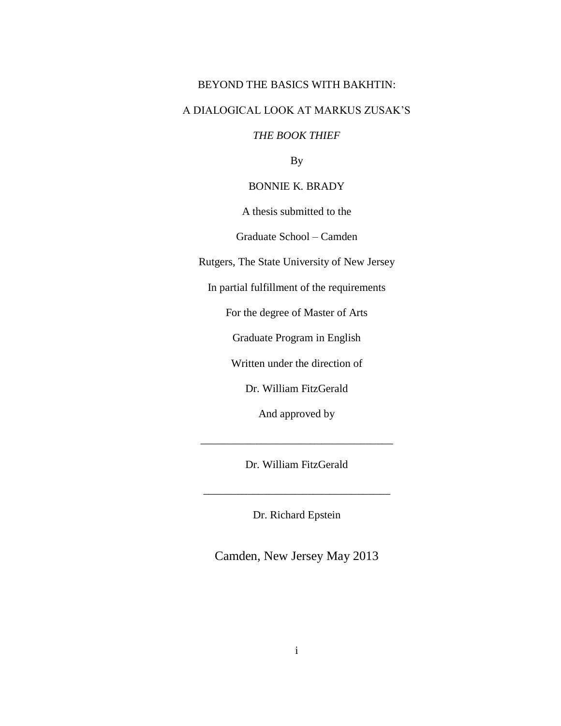# BEYOND THE BASICS WITH BAKHTIN:

# A DIALOGICAL LOOK AT MARKUS ZUSAK'S

# *THE BOOK THIEF*

By

### BONNIE K. BRADY

A thesis submitted to the

Graduate School – Camden

Rutgers, The State University of New Jersey

In partial fulfillment of the requirements

For the degree of Master of Arts

Graduate Program in English

Written under the direction of

Dr. William FitzGerald

And approved by

Dr. William FitzGerald

\_\_\_\_\_\_\_\_\_\_\_\_\_\_\_\_\_\_\_\_\_\_\_\_\_\_\_\_\_\_\_\_\_\_

\_\_\_\_\_\_\_\_\_\_\_\_\_\_\_\_\_\_\_\_\_\_\_\_\_\_\_\_\_\_\_\_\_\_\_

Dr. Richard Epstein

Camden, New Jersey May 2013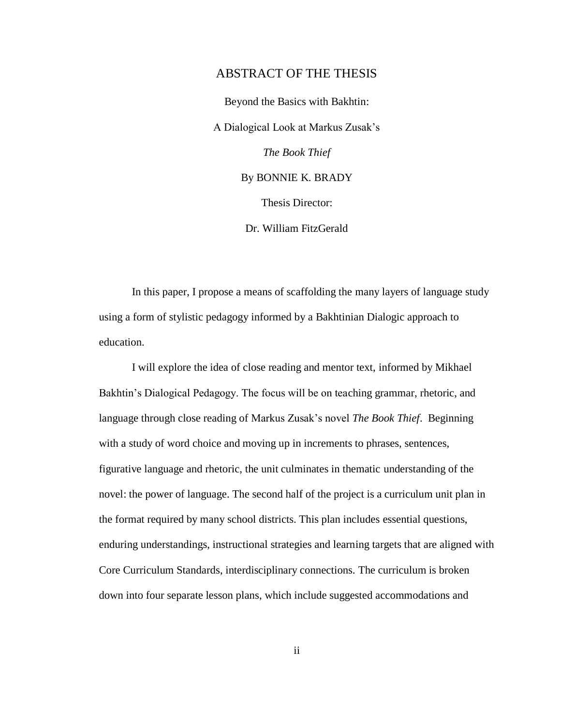### ABSTRACT OF THE THESIS

Beyond the Basics with Bakhtin: A Dialogical Look at Markus Zusak's *The Book Thief* By BONNIE K. BRADY Thesis Director: Dr. William FitzGerald

In this paper, I propose a means of scaffolding the many layers of language study using a form of stylistic pedagogy informed by a Bakhtinian Dialogic approach to education.

I will explore the idea of close reading and mentor text, informed by Mikhael Bakhtin's Dialogical Pedagogy. The focus will be on teaching grammar, rhetoric, and language through close reading of Markus Zusak's novel *The Book Thief*. Beginning with a study of word choice and moving up in increments to phrases, sentences, figurative language and rhetoric, the unit culminates in thematic understanding of the novel: the power of language. The second half of the project is a curriculum unit plan in the format required by many school districts. This plan includes essential questions, enduring understandings, instructional strategies and learning targets that are aligned with Core Curriculum Standards, interdisciplinary connections. The curriculum is broken down into four separate lesson plans, which include suggested accommodations and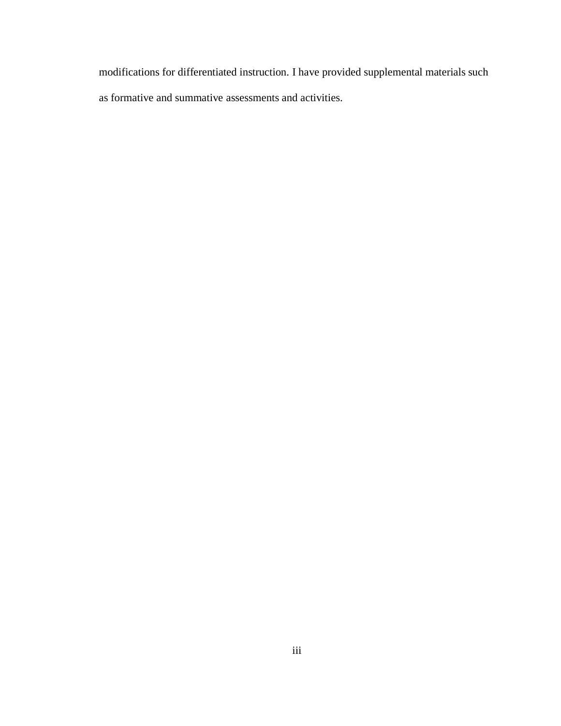modifications for differentiated instruction. I have provided supplemental materials such as formative and summative assessments and activities.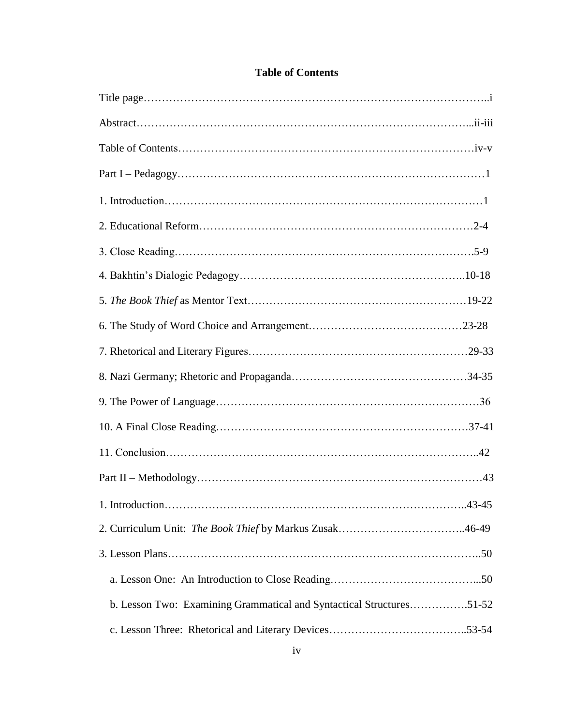| b. Lesson Two: Examining Grammatical and Syntactical Structures51-52 |  |
|----------------------------------------------------------------------|--|
|                                                                      |  |
|                                                                      |  |

# **Table of Contents**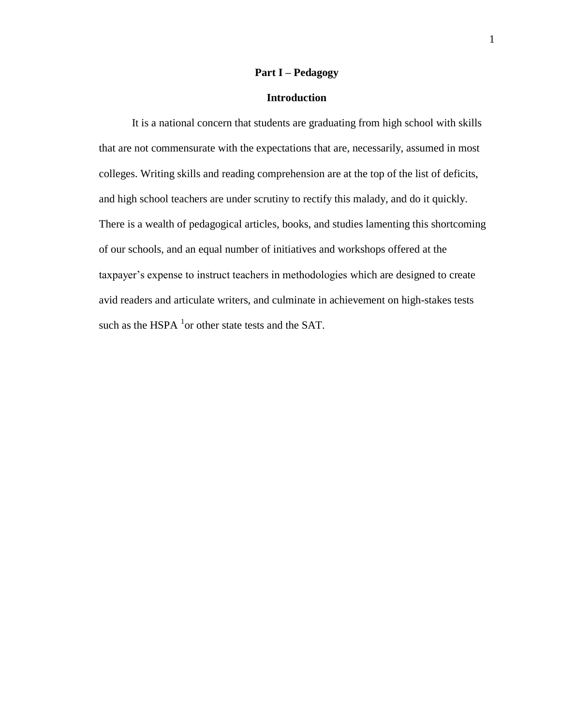### **Part I – Pedagogy**

### **Introduction**

It is a national concern that students are graduating from high school with skills that are not commensurate with the expectations that are, necessarily, assumed in most colleges. Writing skills and reading comprehension are at the top of the list of deficits, and high school teachers are under scrutiny to rectify this malady, and do it quickly. There is a wealth of pedagogical articles, books, and studies lamenting this shortcoming of our schools, and an equal number of initiatives and workshops offered at the taxpayer's expense to instruct teachers in methodologies which are designed to create avid readers and articulate writers, and culminate in achievement on high-stakes tests such as the HSPA  $^{1}$ or other state tests and the SAT.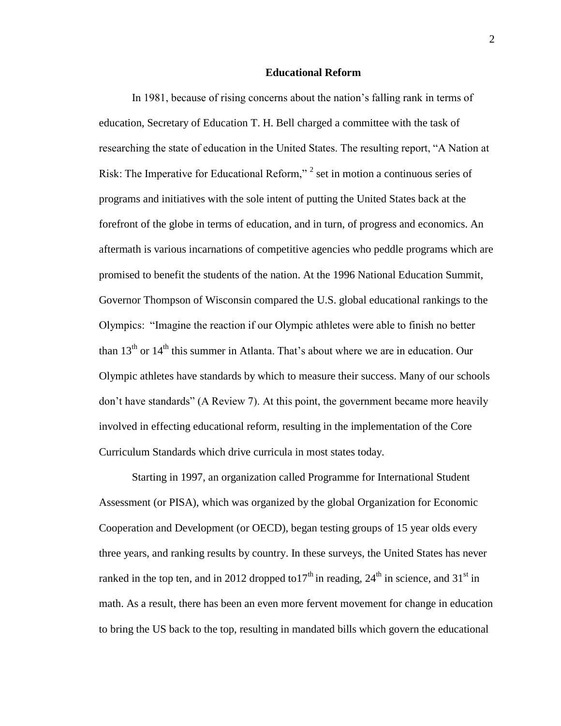### **Educational Reform**

In 1981, because of rising concerns about the nation's falling rank in terms of education, Secretary of Education T. H. Bell charged a committee with the task of researching the state of education in the United States. The resulting report, "A Nation at Risk: The Imperative for Educational Reform,"<sup>2</sup> set in motion a continuous series of programs and initiatives with the sole intent of putting the United States back at the forefront of the globe in terms of education, and in turn, of progress and economics. An aftermath is various incarnations of competitive agencies who peddle programs which are promised to benefit the students of the nation. At the 1996 National Education Summit, Governor Thompson of Wisconsin compared the U.S. global educational rankings to the Olympics: "Imagine the reaction if our Olympic athletes were able to finish no better than  $13<sup>th</sup>$  or  $14<sup>th</sup>$  this summer in Atlanta. That's about where we are in education. Our Olympic athletes have standards by which to measure their success. Many of our schools don't have standards" (A Review 7). At this point, the government became more heavily involved in effecting educational reform, resulting in the implementation of the Core Curriculum Standards which drive curricula in most states today.

Starting in 1997, an organization called Programme for International Student Assessment (or PISA), which was organized by the global Organization for Economic Cooperation and Development (or OECD), began testing groups of 15 year olds every three years, and ranking results by country. In these surveys, the United States has never ranked in the top ten, and in 2012 dropped to  $17<sup>th</sup>$  in reading,  $24<sup>th</sup>$  in science, and  $31<sup>st</sup>$  in math. As a result, there has been an even more fervent movement for change in education to bring the US back to the top, resulting in mandated bills which govern the educational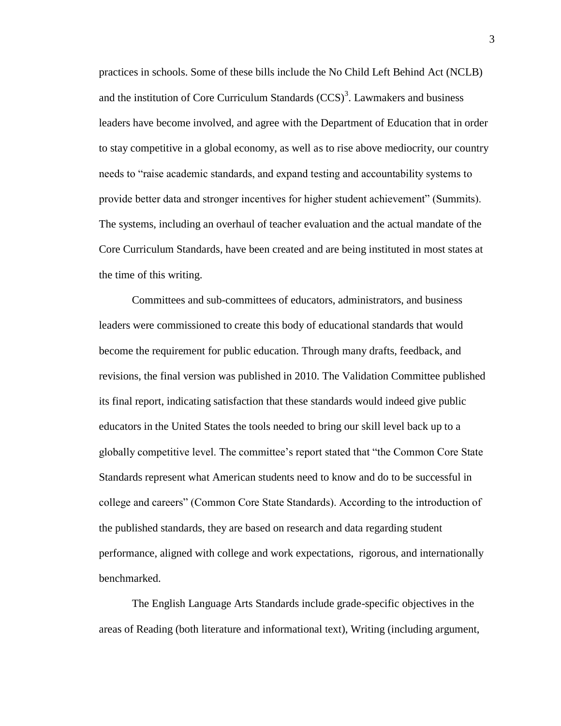practices in schools. Some of these bills include the No Child Left Behind Act (NCLB) and the institution of Core Curriculum Standards  $(CCS)^3$ . Lawmakers and business leaders have become involved, and agree with the Department of Education that in order to stay competitive in a global economy, as well as to rise above mediocrity, our country needs to "raise academic standards, and expand testing and accountability systems to provide better data and stronger incentives for higher student achievement" (Summits). The systems, including an overhaul of teacher evaluation and the actual mandate of the Core Curriculum Standards, have been created and are being instituted in most states at the time of this writing.

Committees and sub-committees of educators, administrators, and business leaders were commissioned to create this body of educational standards that would become the requirement for public education. Through many drafts, feedback, and revisions, the final version was published in 2010. The Validation Committee published its final report, indicating satisfaction that these standards would indeed give public educators in the United States the tools needed to bring our skill level back up to a globally competitive level. The committee's report stated that "the Common Core State Standards represent what American students need to know and do to be successful in college and careers" (Common Core State Standards). According to the introduction of the published standards, they are based on research and data regarding student performance, aligned with college and work expectations, rigorous, and internationally benchmarked.

The English Language Arts Standards include grade-specific objectives in the areas of Reading (both literature and informational text), Writing (including argument,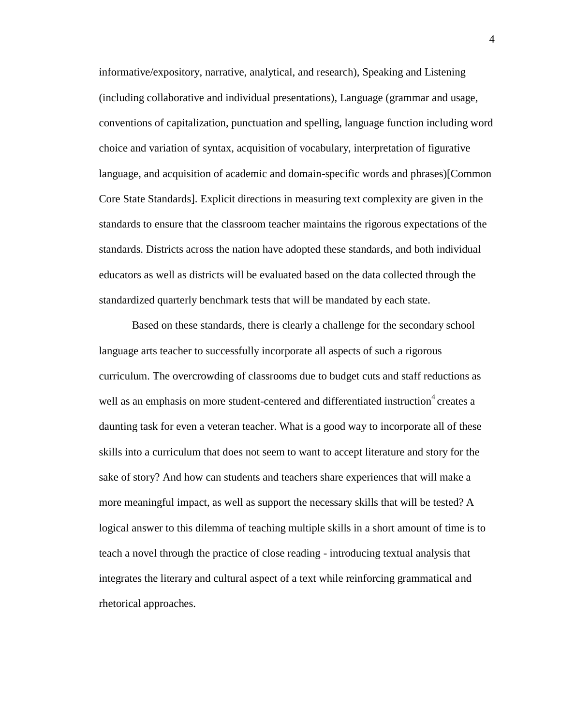informative/expository, narrative, analytical, and research), Speaking and Listening (including collaborative and individual presentations), Language (grammar and usage, conventions of capitalization, punctuation and spelling, language function including word choice and variation of syntax, acquisition of vocabulary, interpretation of figurative language, and acquisition of academic and domain-specific words and phrases)[Common Core State Standards]. Explicit directions in measuring text complexity are given in the standards to ensure that the classroom teacher maintains the rigorous expectations of the standards. Districts across the nation have adopted these standards, and both individual educators as well as districts will be evaluated based on the data collected through the standardized quarterly benchmark tests that will be mandated by each state.

Based on these standards, there is clearly a challenge for the secondary school language arts teacher to successfully incorporate all aspects of such a rigorous curriculum. The overcrowding of classrooms due to budget cuts and staff reductions as well as an emphasis on more student-centered and differentiated instruction<sup>4</sup> creates a daunting task for even a veteran teacher. What is a good way to incorporate all of these skills into a curriculum that does not seem to want to accept literature and story for the sake of story? And how can students and teachers share experiences that will make a more meaningful impact, as well as support the necessary skills that will be tested? A logical answer to this dilemma of teaching multiple skills in a short amount of time is to teach a novel through the practice of close reading - introducing textual analysis that integrates the literary and cultural aspect of a text while reinforcing grammatical and rhetorical approaches.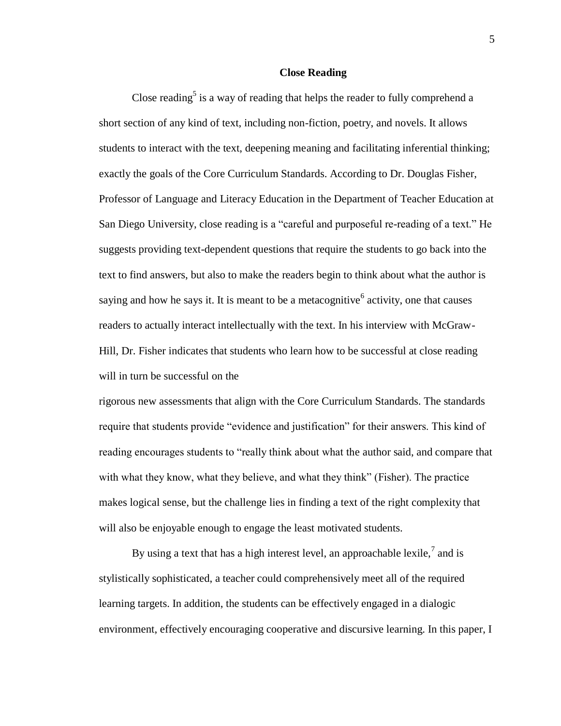### **Close Reading**

Close reading<sup>5</sup> is a way of reading that helps the reader to fully comprehend a short section of any kind of text, including non-fiction, poetry, and novels. It allows students to interact with the text, deepening meaning and facilitating inferential thinking; exactly the goals of the Core Curriculum Standards. According to Dr. Douglas Fisher, Professor of Language and Literacy Education in the Department of Teacher Education at San Diego University, close reading is a "careful and purposeful re-reading of a text." He suggests providing text-dependent questions that require the students to go back into the text to find answers, but also to make the readers begin to think about what the author is saying and how he says it. It is meant to be a metacognitive  $6$  activity, one that causes readers to actually interact intellectually with the text. In his interview with McGraw-Hill, Dr. Fisher indicates that students who learn how to be successful at close reading will in turn be successful on the

rigorous new assessments that align with the Core Curriculum Standards. The standards require that students provide "evidence and justification" for their answers. This kind of reading encourages students to "really think about what the author said, and compare that with what they know, what they believe, and what they think" (Fisher). The practice makes logical sense, but the challenge lies in finding a text of the right complexity that will also be enjoyable enough to engage the least motivated students.

By using a text that has a high interest level, an approachable lexile,<sup>7</sup> and is stylistically sophisticated, a teacher could comprehensively meet all of the required learning targets. In addition, the students can be effectively engaged in a dialogic environment, effectively encouraging cooperative and discursive learning. In this paper, I

5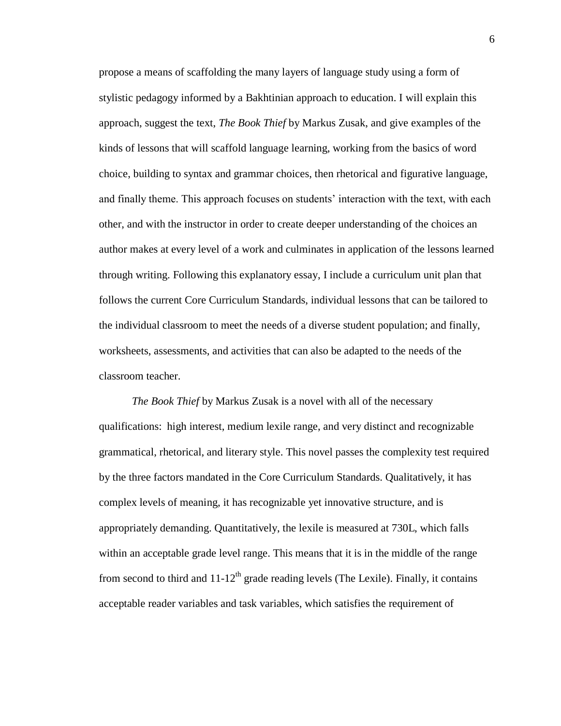propose a means of scaffolding the many layers of language study using a form of stylistic pedagogy informed by a Bakhtinian approach to education. I will explain this approach, suggest the text, *The Book Thief* by Markus Zusak, and give examples of the kinds of lessons that will scaffold language learning, working from the basics of word choice, building to syntax and grammar choices, then rhetorical and figurative language, and finally theme. This approach focuses on students' interaction with the text, with each other, and with the instructor in order to create deeper understanding of the choices an author makes at every level of a work and culminates in application of the lessons learned through writing. Following this explanatory essay, I include a curriculum unit plan that follows the current Core Curriculum Standards, individual lessons that can be tailored to the individual classroom to meet the needs of a diverse student population; and finally, worksheets, assessments, and activities that can also be adapted to the needs of the classroom teacher.

*The Book Thief* by Markus Zusak is a novel with all of the necessary qualifications: high interest, medium lexile range, and very distinct and recognizable grammatical, rhetorical, and literary style. This novel passes the complexity test required by the three factors mandated in the Core Curriculum Standards. Qualitatively, it has complex levels of meaning, it has recognizable yet innovative structure, and is appropriately demanding. Quantitatively, the lexile is measured at 730L, which falls within an acceptable grade level range. This means that it is in the middle of the range from second to third and  $11-12<sup>th</sup>$  grade reading levels (The Lexile). Finally, it contains acceptable reader variables and task variables, which satisfies the requirement of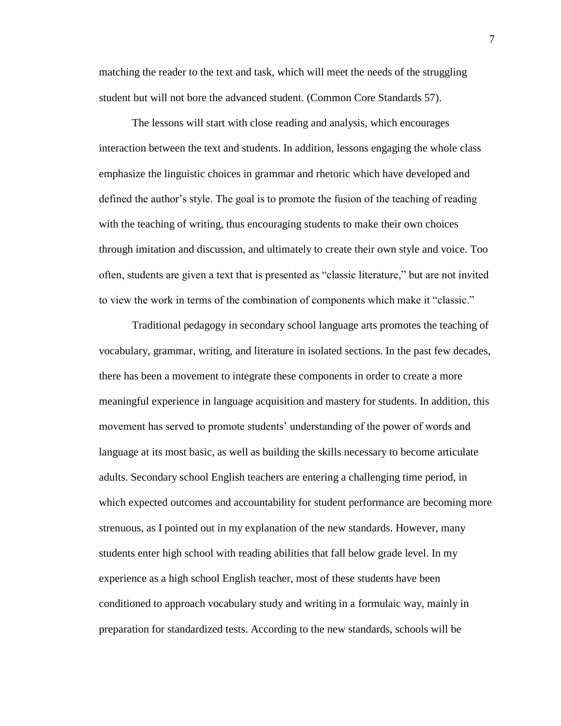matching the reader to the text and task, which will meet the needs of the struggling student but will not bore the advanced student. (Common Core Standards 57).

The lessons will start with close reading and analysis, which encourages interaction between the text and students. In addition, lessons engaging the whole class emphasize the linguistic choices in grammar and rhetoric which have developed and defined the author's style. The goal is to promote the fusion of the teaching of reading with the teaching of writing, thus encouraging students to make their own choices through imitation and discussion, and ultimately to create their own style and voice. Too often, students are given a text that is presented as "classic literature," but are not invited to view the work in terms of the combination of components which make it "classic."

Traditional pedagogy in secondary school language arts promotes the teaching of vocabulary, grammar, writing, and literature in isolated sections. In the past few decades, there has been a movement to integrate these components in order to create a more meaningful experience in language acquisition and mastery for students. In addition, this movement has served to promote students' understanding of the power of words and language at its most basic, as well as building the skills necessary to become articulate adults. Secondary school English teachers are entering a challenging time period, in which expected outcomes and accountability for student performance are becoming more strenuous, as I pointed out in my explanation of the new standards. However, many students enter high school with reading abilities that fall below grade level. In my experience as a high school English teacher, most of these students have been conditioned to approach vocabulary study and writing in a formulaic way, mainly in preparation for standardized tests. According to the new standards, schools will be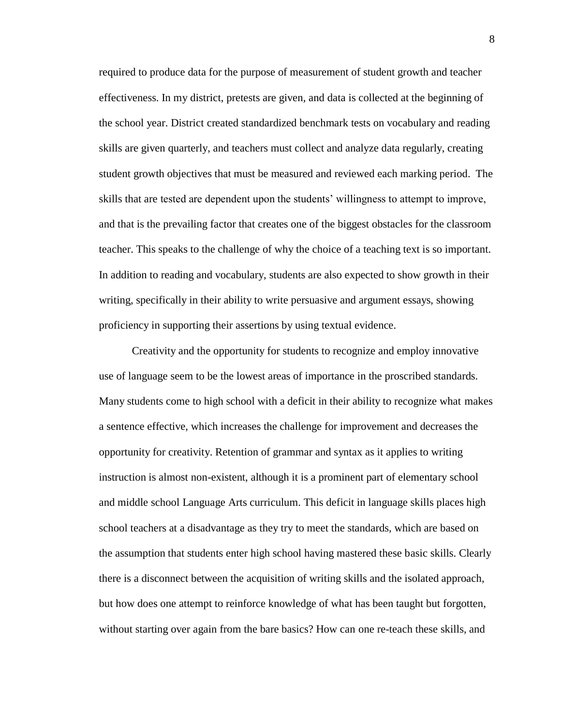required to produce data for the purpose of measurement of student growth and teacher effectiveness. In my district, pretests are given, and data is collected at the beginning of the school year. District created standardized benchmark tests on vocabulary and reading skills are given quarterly, and teachers must collect and analyze data regularly, creating student growth objectives that must be measured and reviewed each marking period. The skills that are tested are dependent upon the students' willingness to attempt to improve, and that is the prevailing factor that creates one of the biggest obstacles for the classroom teacher. This speaks to the challenge of why the choice of a teaching text is so important. In addition to reading and vocabulary, students are also expected to show growth in their writing, specifically in their ability to write persuasive and argument essays, showing proficiency in supporting their assertions by using textual evidence.

Creativity and the opportunity for students to recognize and employ innovative use of language seem to be the lowest areas of importance in the proscribed standards. Many students come to high school with a deficit in their ability to recognize what makes a sentence effective, which increases the challenge for improvement and decreases the opportunity for creativity. Retention of grammar and syntax as it applies to writing instruction is almost non-existent, although it is a prominent part of elementary school and middle school Language Arts curriculum. This deficit in language skills places high school teachers at a disadvantage as they try to meet the standards, which are based on the assumption that students enter high school having mastered these basic skills. Clearly there is a disconnect between the acquisition of writing skills and the isolated approach, but how does one attempt to reinforce knowledge of what has been taught but forgotten, without starting over again from the bare basics? How can one re-teach these skills, and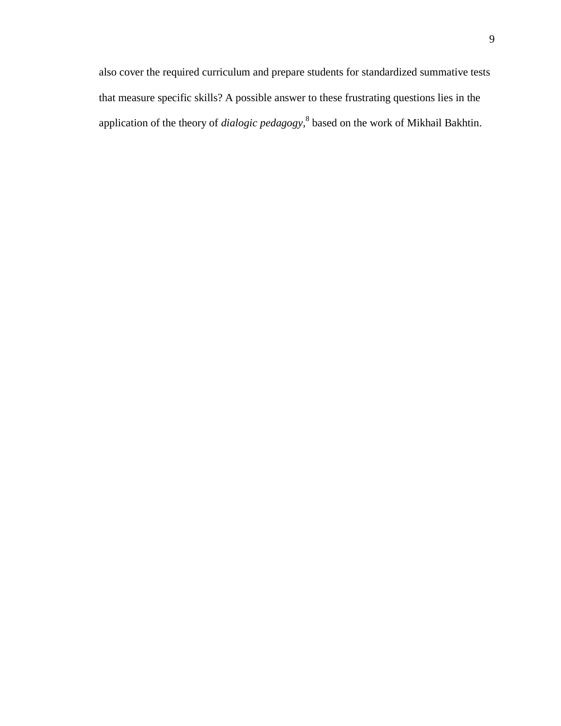also cover the required curriculum and prepare students for standardized summative tests that measure specific skills? A possible answer to these frustrating questions lies in the application of the theory of *dialogic pedagogy*, 8 based on the work of Mikhail Bakhtin.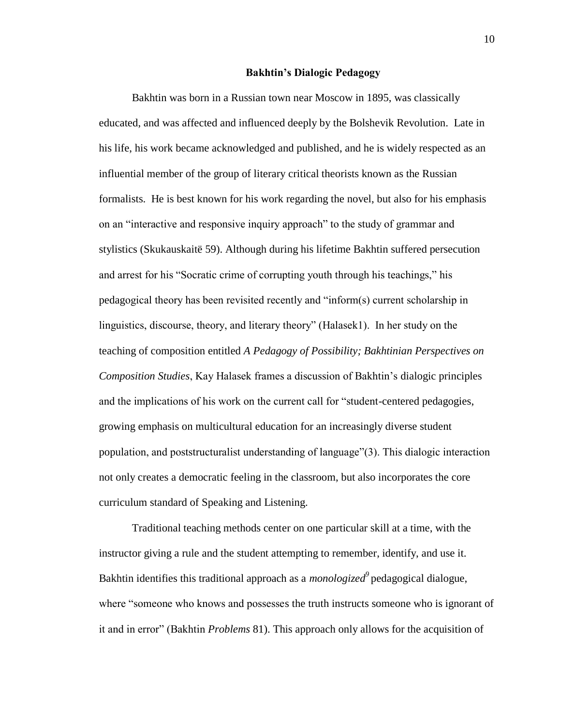#### **Bakhtin's Dialogic Pedagogy**

Bakhtin was born in a Russian town near Moscow in 1895, was classically educated, and was affected and influenced deeply by the Bolshevik Revolution. Late in his life, his work became acknowledged and published, and he is widely respected as an influential member of the group of literary critical theorists known as the Russian formalists. He is best known for his work regarding the novel, but also for his emphasis on an "interactive and responsive inquiry approach" to the study of grammar and stylistics (Skukauskaitë 59). Although during his lifetime Bakhtin suffered persecution and arrest for his "Socratic crime of corrupting youth through his teachings," his pedagogical theory has been revisited recently and "inform(s) current scholarship in linguistics, discourse, theory, and literary theory" (Halasek1). In her study on the teaching of composition entitled *A Pedagogy of Possibility; Bakhtinian Perspectives on Composition Studies*, Kay Halasek frames a discussion of Bakhtin's dialogic principles and the implications of his work on the current call for "student-centered pedagogies, growing emphasis on multicultural education for an increasingly diverse student population, and poststructuralist understanding of language"(3). This dialogic interaction not only creates a democratic feeling in the classroom, but also incorporates the core curriculum standard of Speaking and Listening.

Traditional teaching methods center on one particular skill at a time, with the instructor giving a rule and the student attempting to remember, identify, and use it. Bakhtin identifies this traditional approach as a *monologized<sup>9</sup>* pedagogical dialogue, where "someone who knows and possesses the truth instructs someone who is ignorant of it and in error" (Bakhtin *Problems* 81). This approach only allows for the acquisition of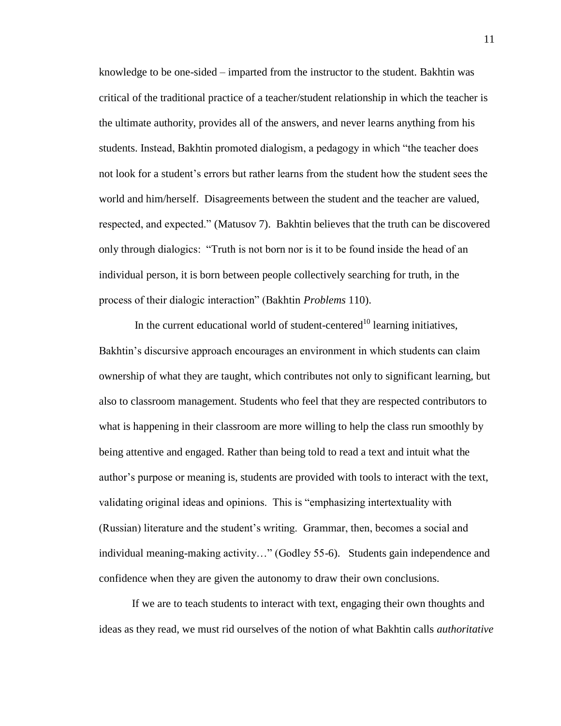knowledge to be one-sided – imparted from the instructor to the student. Bakhtin was critical of the traditional practice of a teacher/student relationship in which the teacher is the ultimate authority, provides all of the answers, and never learns anything from his students. Instead, Bakhtin promoted dialogism, a pedagogy in which "the teacher does not look for a student's errors but rather learns from the student how the student sees the world and him/herself. Disagreements between the student and the teacher are valued, respected, and expected." (Matusov 7). Bakhtin believes that the truth can be discovered only through dialogics: "Truth is not born nor is it to be found inside the head of an individual person, it is born between people collectively searching for truth, in the process of their dialogic interaction" (Bakhtin *Problems* 110).

In the current educational world of student-centered<sup>10</sup> learning initiatives, Bakhtin's discursive approach encourages an environment in which students can claim ownership of what they are taught, which contributes not only to significant learning, but also to classroom management. Students who feel that they are respected contributors to what is happening in their classroom are more willing to help the class run smoothly by being attentive and engaged. Rather than being told to read a text and intuit what the author's purpose or meaning is, students are provided with tools to interact with the text, validating original ideas and opinions. This is "emphasizing intertextuality with (Russian) literature and the student's writing. Grammar, then, becomes a social and individual meaning-making activity…" (Godley 55-6). Students gain independence and confidence when they are given the autonomy to draw their own conclusions.

If we are to teach students to interact with text, engaging their own thoughts and ideas as they read, we must rid ourselves of the notion of what Bakhtin calls *authoritative*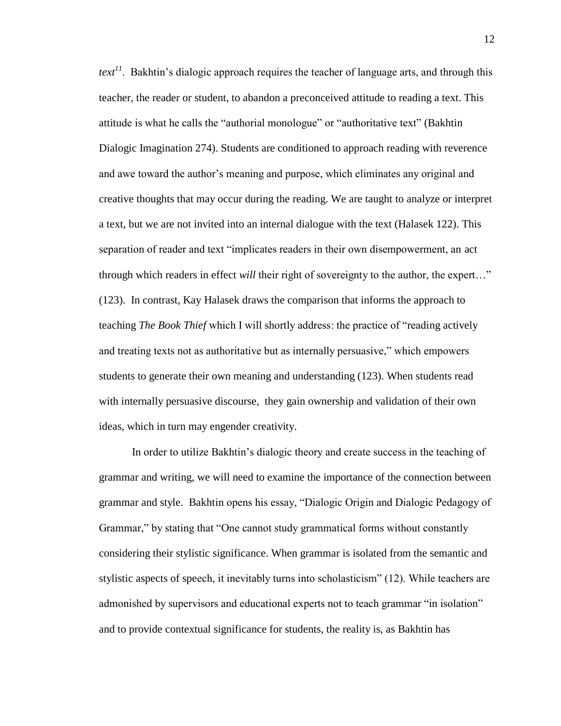*text<sup>11</sup>*. Bakhtin's dialogic approach requires the teacher of language arts, and through this teacher, the reader or student, to abandon a preconceived attitude to reading a text. This attitude is what he calls the "authorial monologue" or "authoritative text" (Bakhtin Dialogic Imagination 274). Students are conditioned to approach reading with reverence and awe toward the author's meaning and purpose, which eliminates any original and creative thoughts that may occur during the reading. We are taught to analyze or interpret a text, but we are not invited into an internal dialogue with the text (Halasek 122). This separation of reader and text "implicates readers in their own disempowerment, an act through which readers in effect *will* their right of sovereignty to the author, the expert…" (123). In contrast, Kay Halasek draws the comparison that informs the approach to teaching *The Book Thief* which I will shortly address: the practice of "reading actively and treating texts not as authoritative but as internally persuasive," which empowers students to generate their own meaning and understanding (123). When students read with internally persuasive discourse, they gain ownership and validation of their own ideas, which in turn may engender creativity.

In order to utilize Bakhtin's dialogic theory and create success in the teaching of grammar and writing, we will need to examine the importance of the connection between grammar and style. Bakhtin opens his essay, "Dialogic Origin and Dialogic Pedagogy of Grammar," by stating that "One cannot study grammatical forms without constantly considering their stylistic significance. When grammar is isolated from the semantic and stylistic aspects of speech, it inevitably turns into scholasticism" (12). While teachers are admonished by supervisors and educational experts not to teach grammar "in isolation" and to provide contextual significance for students, the reality is, as Bakhtin has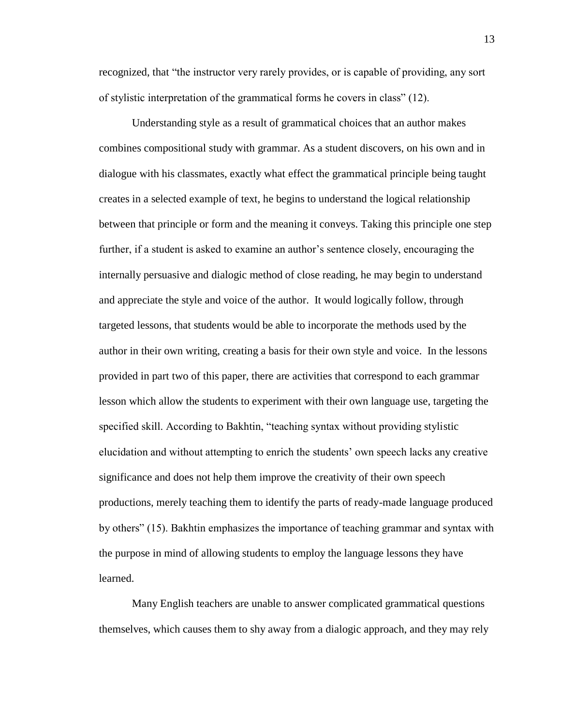recognized, that "the instructor very rarely provides, or is capable of providing, any sort of stylistic interpretation of the grammatical forms he covers in class" (12).

Understanding style as a result of grammatical choices that an author makes combines compositional study with grammar. As a student discovers, on his own and in dialogue with his classmates, exactly what effect the grammatical principle being taught creates in a selected example of text, he begins to understand the logical relationship between that principle or form and the meaning it conveys. Taking this principle one step further, if a student is asked to examine an author's sentence closely, encouraging the internally persuasive and dialogic method of close reading, he may begin to understand and appreciate the style and voice of the author. It would logically follow, through targeted lessons, that students would be able to incorporate the methods used by the author in their own writing, creating a basis for their own style and voice. In the lessons provided in part two of this paper, there are activities that correspond to each grammar lesson which allow the students to experiment with their own language use, targeting the specified skill. According to Bakhtin, "teaching syntax without providing stylistic elucidation and without attempting to enrich the students' own speech lacks any creative significance and does not help them improve the creativity of their own speech productions, merely teaching them to identify the parts of ready-made language produced by others" (15). Bakhtin emphasizes the importance of teaching grammar and syntax with the purpose in mind of allowing students to employ the language lessons they have learned.

Many English teachers are unable to answer complicated grammatical questions themselves, which causes them to shy away from a dialogic approach, and they may rely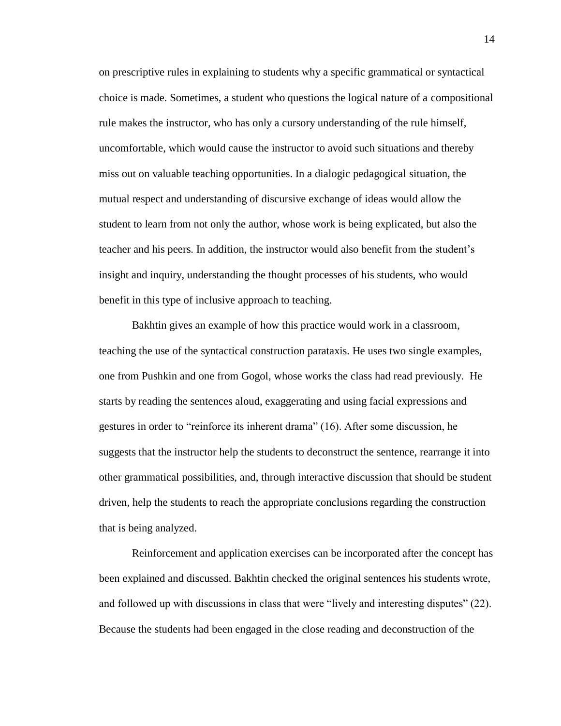on prescriptive rules in explaining to students why a specific grammatical or syntactical choice is made. Sometimes, a student who questions the logical nature of a compositional rule makes the instructor, who has only a cursory understanding of the rule himself, uncomfortable, which would cause the instructor to avoid such situations and thereby miss out on valuable teaching opportunities. In a dialogic pedagogical situation, the mutual respect and understanding of discursive exchange of ideas would allow the student to learn from not only the author, whose work is being explicated, but also the teacher and his peers. In addition, the instructor would also benefit from the student's insight and inquiry, understanding the thought processes of his students, who would benefit in this type of inclusive approach to teaching.

Bakhtin gives an example of how this practice would work in a classroom, teaching the use of the syntactical construction parataxis. He uses two single examples, one from Pushkin and one from Gogol, whose works the class had read previously. He starts by reading the sentences aloud, exaggerating and using facial expressions and gestures in order to "reinforce its inherent drama" (16). After some discussion, he suggests that the instructor help the students to deconstruct the sentence, rearrange it into other grammatical possibilities, and, through interactive discussion that should be student driven, help the students to reach the appropriate conclusions regarding the construction that is being analyzed.

Reinforcement and application exercises can be incorporated after the concept has been explained and discussed. Bakhtin checked the original sentences his students wrote, and followed up with discussions in class that were "lively and interesting disputes" (22). Because the students had been engaged in the close reading and deconstruction of the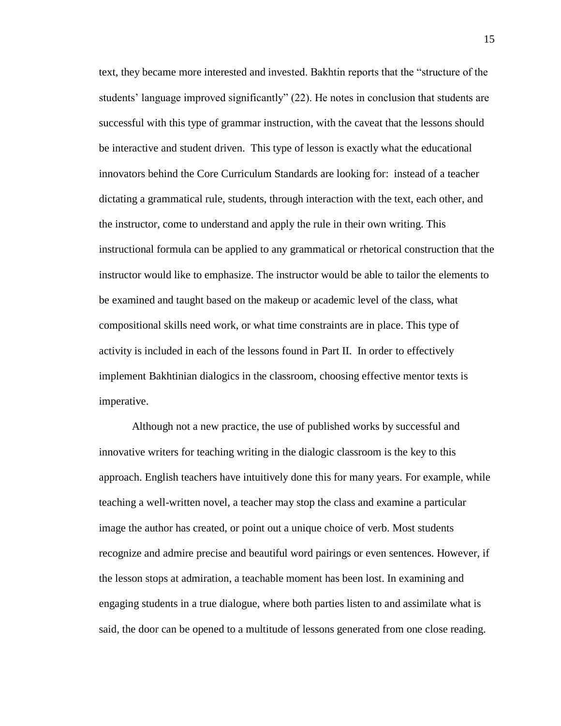text, they became more interested and invested. Bakhtin reports that the "structure of the students' language improved significantly" (22). He notes in conclusion that students are successful with this type of grammar instruction, with the caveat that the lessons should be interactive and student driven. This type of lesson is exactly what the educational innovators behind the Core Curriculum Standards are looking for: instead of a teacher dictating a grammatical rule, students, through interaction with the text, each other, and the instructor, come to understand and apply the rule in their own writing. This instructional formula can be applied to any grammatical or rhetorical construction that the instructor would like to emphasize. The instructor would be able to tailor the elements to be examined and taught based on the makeup or academic level of the class, what compositional skills need work, or what time constraints are in place. This type of activity is included in each of the lessons found in Part II. In order to effectively implement Bakhtinian dialogics in the classroom, choosing effective mentor texts is imperative.

Although not a new practice, the use of published works by successful and innovative writers for teaching writing in the dialogic classroom is the key to this approach. English teachers have intuitively done this for many years. For example, while teaching a well-written novel, a teacher may stop the class and examine a particular image the author has created, or point out a unique choice of verb. Most students recognize and admire precise and beautiful word pairings or even sentences. However, if the lesson stops at admiration, a teachable moment has been lost. In examining and engaging students in a true dialogue, where both parties listen to and assimilate what is said, the door can be opened to a multitude of lessons generated from one close reading.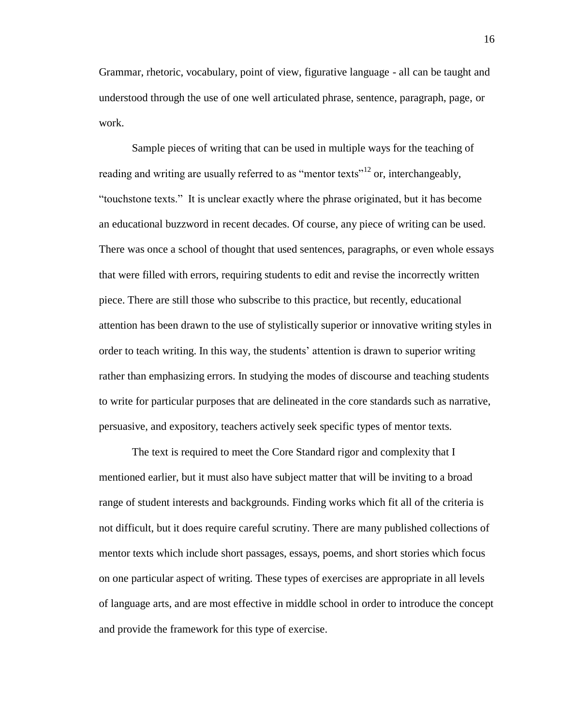Grammar, rhetoric, vocabulary, point of view, figurative language - all can be taught and understood through the use of one well articulated phrase, sentence, paragraph, page, or work.

Sample pieces of writing that can be used in multiple ways for the teaching of reading and writing are usually referred to as "mentor texts"<sup>12</sup> or, interchangeably, "touchstone texts." It is unclear exactly where the phrase originated, but it has become an educational buzzword in recent decades. Of course, any piece of writing can be used. There was once a school of thought that used sentences, paragraphs, or even whole essays that were filled with errors, requiring students to edit and revise the incorrectly written piece. There are still those who subscribe to this practice, but recently, educational attention has been drawn to the use of stylistically superior or innovative writing styles in order to teach writing. In this way, the students' attention is drawn to superior writing rather than emphasizing errors. In studying the modes of discourse and teaching students to write for particular purposes that are delineated in the core standards such as narrative, persuasive, and expository, teachers actively seek specific types of mentor texts.

The text is required to meet the Core Standard rigor and complexity that I mentioned earlier, but it must also have subject matter that will be inviting to a broad range of student interests and backgrounds. Finding works which fit all of the criteria is not difficult, but it does require careful scrutiny. There are many published collections of mentor texts which include short passages, essays, poems, and short stories which focus on one particular aspect of writing. These types of exercises are appropriate in all levels of language arts, and are most effective in middle school in order to introduce the concept and provide the framework for this type of exercise.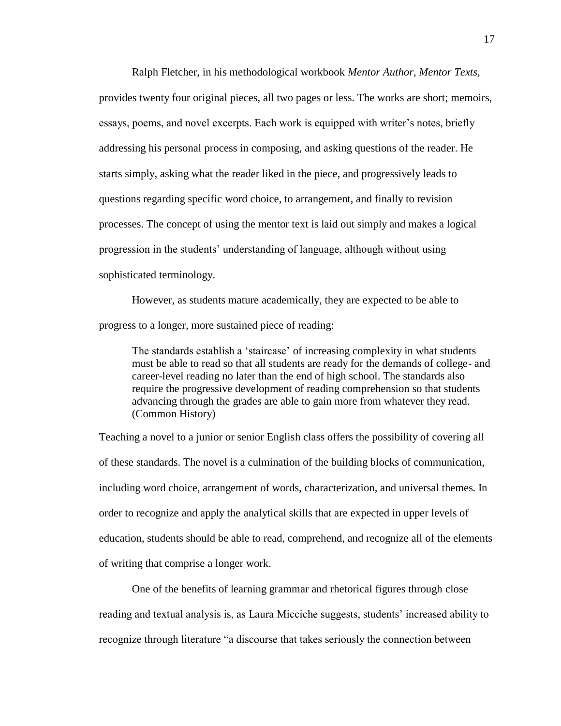Ralph Fletcher, in his methodological workbook *Mentor Author, Mentor Texts,*  provides twenty four original pieces, all two pages or less. The works are short; memoirs, essays, poems, and novel excerpts. Each work is equipped with writer's notes, briefly addressing his personal process in composing, and asking questions of the reader. He starts simply, asking what the reader liked in the piece, and progressively leads to questions regarding specific word choice, to arrangement, and finally to revision processes. The concept of using the mentor text is laid out simply and makes a logical progression in the students' understanding of language, although without using sophisticated terminology.

However, as students mature academically, they are expected to be able to progress to a longer, more sustained piece of reading:

The standards establish a 'staircase' of increasing complexity in what students must be able to read so that all students are ready for the demands of college- and career-level reading no later than the end of high school. The standards also require the progressive development of reading comprehension so that students advancing through the grades are able to gain more from whatever they read. (Common History)

Teaching a novel to a junior or senior English class offers the possibility of covering all of these standards. The novel is a culmination of the building blocks of communication, including word choice, arrangement of words, characterization, and universal themes. In order to recognize and apply the analytical skills that are expected in upper levels of education, students should be able to read, comprehend, and recognize all of the elements of writing that comprise a longer work.

One of the benefits of learning grammar and rhetorical figures through close reading and textual analysis is, as Laura Micciche suggests, students' increased ability to recognize through literature "a discourse that takes seriously the connection between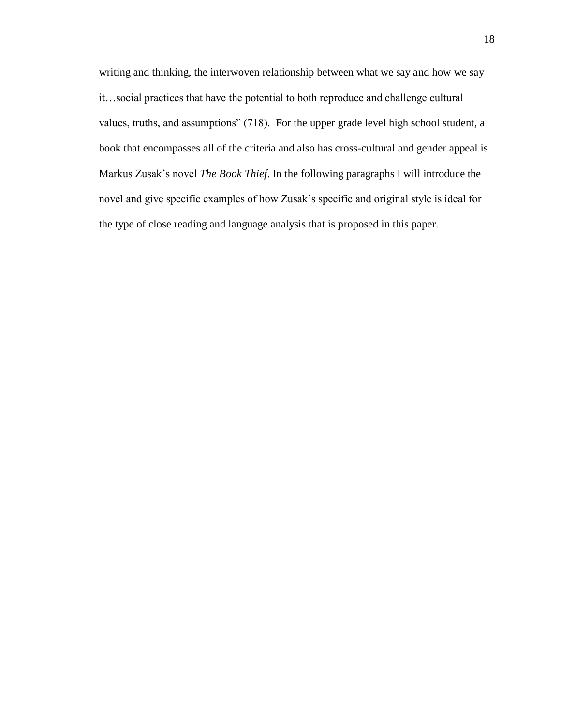writing and thinking, the interwoven relationship between what we say and how we say it…social practices that have the potential to both reproduce and challenge cultural values, truths, and assumptions" (718). For the upper grade level high school student, a book that encompasses all of the criteria and also has cross-cultural and gender appeal is Markus Zusak's novel *The Book Thief*. In the following paragraphs I will introduce the novel and give specific examples of how Zusak's specific and original style is ideal for the type of close reading and language analysis that is proposed in this paper.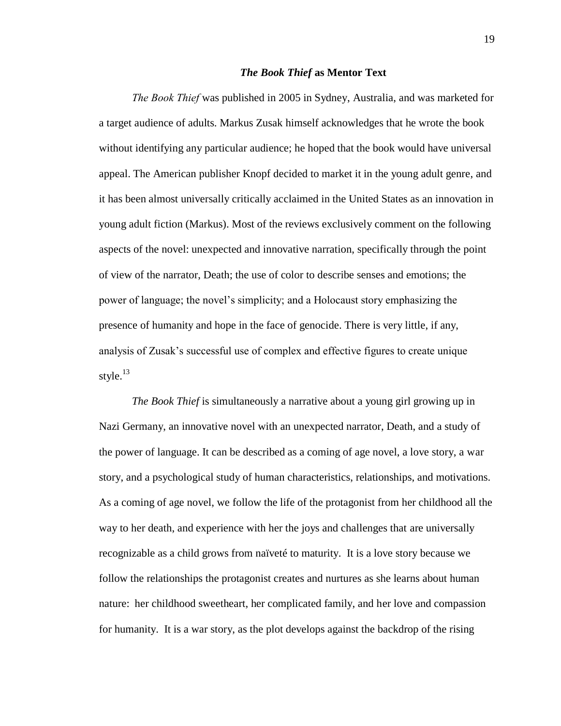#### *The Book Thief* **as Mentor Text**

*The Book Thief* was published in 2005 in Sydney, Australia, and was marketed for a target audience of adults. Markus Zusak himself acknowledges that he wrote the book without identifying any particular audience; he hoped that the book would have universal appeal. The American publisher Knopf decided to market it in the young adult genre, and it has been almost universally critically acclaimed in the United States as an innovation in young adult fiction (Markus). Most of the reviews exclusively comment on the following aspects of the novel: unexpected and innovative narration, specifically through the point of view of the narrator, Death; the use of color to describe senses and emotions; the power of language; the novel's simplicity; and a Holocaust story emphasizing the presence of humanity and hope in the face of genocide. There is very little, if any, analysis of Zusak's successful use of complex and effective figures to create unique style. $^{13}$ 

*The Book Thief* is simultaneously a narrative about a young girl growing up in Nazi Germany, an innovative novel with an unexpected narrator, Death, and a study of the power of language. It can be described as a coming of age novel, a love story, a war story, and a psychological study of human characteristics, relationships, and motivations. As a coming of age novel, we follow the life of the protagonist from her childhood all the way to her death, and experience with her the joys and challenges that are universally recognizable as a child grows from naïveté to maturity. It is a love story because we follow the relationships the protagonist creates and nurtures as she learns about human nature: her childhood sweetheart, her complicated family, and her love and compassion for humanity. It is a war story, as the plot develops against the backdrop of the rising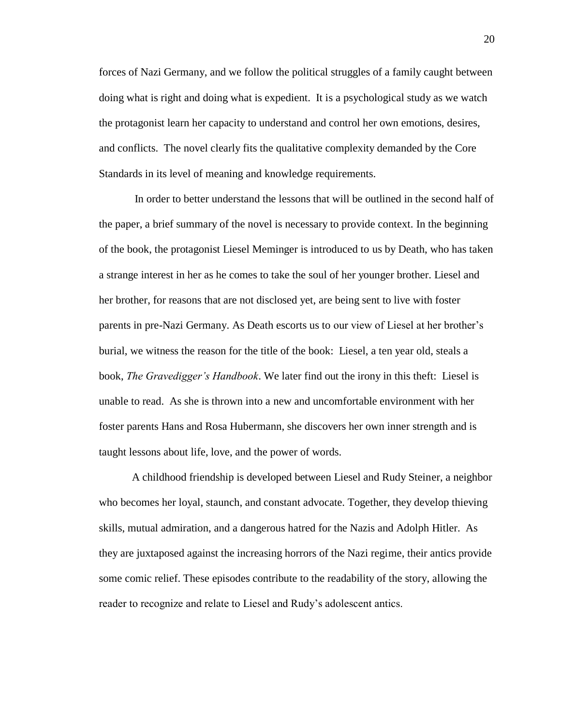forces of Nazi Germany, and we follow the political struggles of a family caught between doing what is right and doing what is expedient. It is a psychological study as we watch the protagonist learn her capacity to understand and control her own emotions, desires, and conflicts. The novel clearly fits the qualitative complexity demanded by the Core Standards in its level of meaning and knowledge requirements.

In order to better understand the lessons that will be outlined in the second half of the paper, a brief summary of the novel is necessary to provide context. In the beginning of the book, the protagonist Liesel Meminger is introduced to us by Death, who has taken a strange interest in her as he comes to take the soul of her younger brother. Liesel and her brother, for reasons that are not disclosed yet, are being sent to live with foster parents in pre-Nazi Germany. As Death escorts us to our view of Liesel at her brother's burial, we witness the reason for the title of the book: Liesel, a ten year old, steals a book, *The Gravedigger's Handbook*. We later find out the irony in this theft: Liesel is unable to read. As she is thrown into a new and uncomfortable environment with her foster parents Hans and Rosa Hubermann, she discovers her own inner strength and is taught lessons about life, love, and the power of words.

A childhood friendship is developed between Liesel and Rudy Steiner, a neighbor who becomes her loyal, staunch, and constant advocate. Together, they develop thieving skills, mutual admiration, and a dangerous hatred for the Nazis and Adolph Hitler. As they are juxtaposed against the increasing horrors of the Nazi regime, their antics provide some comic relief. These episodes contribute to the readability of the story, allowing the reader to recognize and relate to Liesel and Rudy's adolescent antics.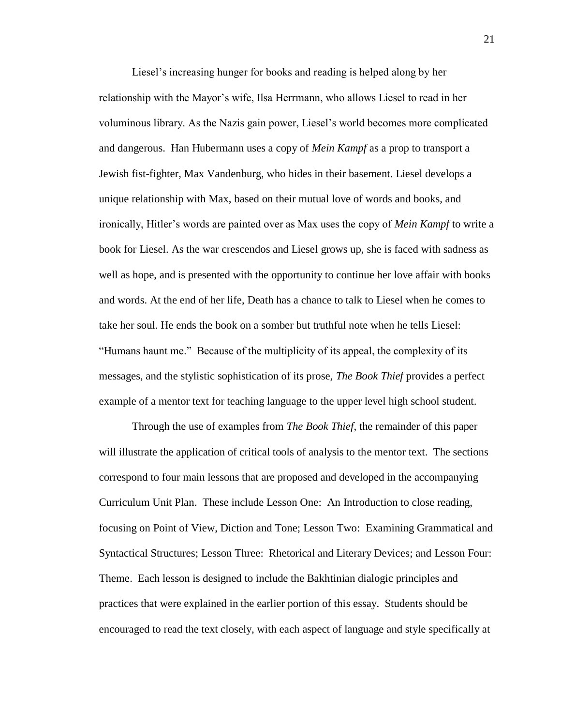Liesel's increasing hunger for books and reading is helped along by her relationship with the Mayor's wife, Ilsa Herrmann, who allows Liesel to read in her voluminous library. As the Nazis gain power, Liesel's world becomes more complicated and dangerous. Han Hubermann uses a copy of *Mein Kampf* as a prop to transport a Jewish fist-fighter, Max Vandenburg, who hides in their basement. Liesel develops a unique relationship with Max, based on their mutual love of words and books, and ironically, Hitler's words are painted over as Max uses the copy of *Mein Kampf* to write a book for Liesel. As the war crescendos and Liesel grows up, she is faced with sadness as well as hope, and is presented with the opportunity to continue her love affair with books and words. At the end of her life, Death has a chance to talk to Liesel when he comes to take her soul. He ends the book on a somber but truthful note when he tells Liesel: "Humans haunt me." Because of the multiplicity of its appeal, the complexity of its messages, and the stylistic sophistication of its prose, *The Book Thief* provides a perfect example of a mentor text for teaching language to the upper level high school student.

Through the use of examples from *The Book Thief*, the remainder of this paper will illustrate the application of critical tools of analysis to the mentor text. The sections correspond to four main lessons that are proposed and developed in the accompanying Curriculum Unit Plan. These include Lesson One: An Introduction to close reading, focusing on Point of View, Diction and Tone; Lesson Two: Examining Grammatical and Syntactical Structures; Lesson Three: Rhetorical and Literary Devices; and Lesson Four: Theme. Each lesson is designed to include the Bakhtinian dialogic principles and practices that were explained in the earlier portion of this essay. Students should be encouraged to read the text closely, with each aspect of language and style specifically at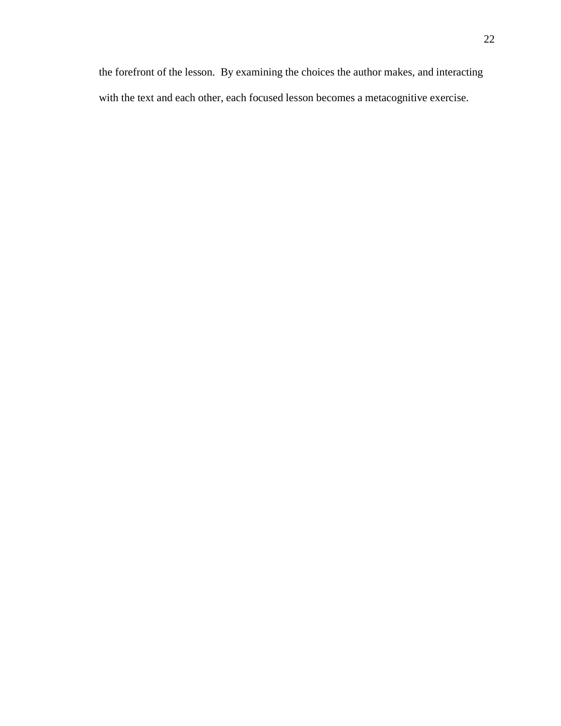the forefront of the lesson. By examining the choices the author makes, and interacting with the text and each other, each focused lesson becomes a metacognitive exercise.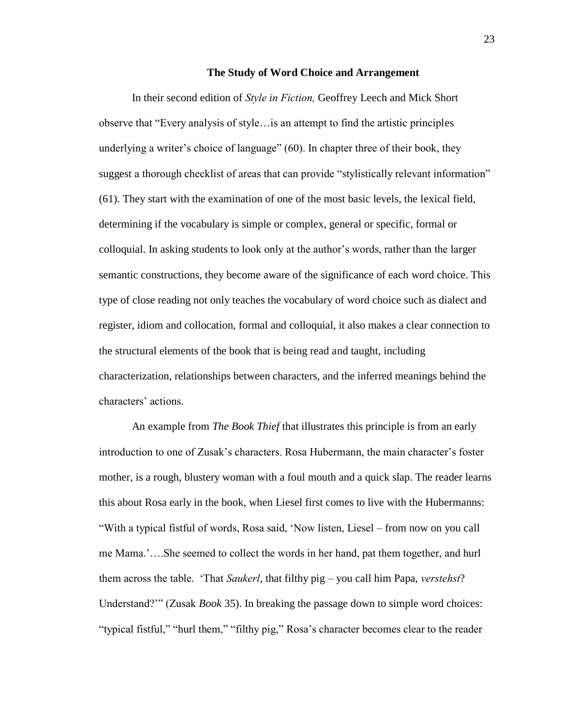### **The Study of Word Choice and Arrangement**

In their second edition of *Style in Fiction,* Geoffrey Leech and Mick Short observe that "Every analysis of style…is an attempt to find the artistic principles underlying a writer's choice of language" (60). In chapter three of their book, they suggest a thorough checklist of areas that can provide "stylistically relevant information" (61). They start with the examination of one of the most basic levels, the lexical field, determining if the vocabulary is simple or complex, general or specific, formal or colloquial. In asking students to look only at the author's words, rather than the larger semantic constructions, they become aware of the significance of each word choice. This type of close reading not only teaches the vocabulary of word choice such as dialect and register, idiom and collocation, formal and colloquial, it also makes a clear connection to the structural elements of the book that is being read and taught, including characterization, relationships between characters, and the inferred meanings behind the characters' actions.

An example from *The Book Thief* that illustrates this principle is from an early introduction to one of Zusak's characters. Rosa Hubermann, the main character's foster mother, is a rough, blustery woman with a foul mouth and a quick slap. The reader learns this about Rosa early in the book, when Liesel first comes to live with the Hubermanns: "With a typical fistful of words, Rosa said, 'Now listen, Liesel – from now on you call me Mama.'….She seemed to collect the words in her hand, pat them together, and hurl them across the table. 'That *Saukerl*, that filthy pig – you call him Papa, *verstehst*? Understand?'" (Zusak *Book* 35). In breaking the passage down to simple word choices: "typical fistful," "hurl them," "filthy pig," Rosa's character becomes clear to the reader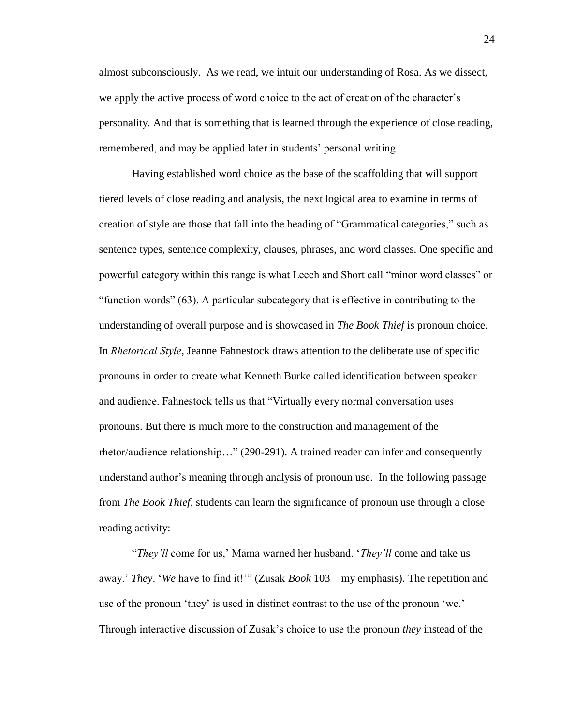almost subconsciously. As we read, we intuit our understanding of Rosa. As we dissect, we apply the active process of word choice to the act of creation of the character's personality. And that is something that is learned through the experience of close reading, remembered, and may be applied later in students' personal writing.

Having established word choice as the base of the scaffolding that will support tiered levels of close reading and analysis, the next logical area to examine in terms of creation of style are those that fall into the heading of "Grammatical categories," such as sentence types, sentence complexity, clauses, phrases, and word classes. One specific and powerful category within this range is what Leech and Short call "minor word classes" or "function words" (63). A particular subcategory that is effective in contributing to the understanding of overall purpose and is showcased in *The Book Thief* is pronoun choice. In *Rhetorical Style*, Jeanne Fahnestock draws attention to the deliberate use of specific pronouns in order to create what Kenneth Burke called identification between speaker and audience. Fahnestock tells us that "Virtually every normal conversation uses pronouns. But there is much more to the construction and management of the rhetor/audience relationship…" (290-291). A trained reader can infer and consequently understand author's meaning through analysis of pronoun use. In the following passage from *The Book Thief*, students can learn the significance of pronoun use through a close reading activity:

"*They'll* come for us,' Mama warned her husband. '*They'll* come and take us away.' *They*. '*We* have to find it!'" (Zusak *Book* 103 – my emphasis). The repetition and use of the pronoun 'they' is used in distinct contrast to the use of the pronoun 'we.' Through interactive discussion of Zusak's choice to use the pronoun *they* instead of the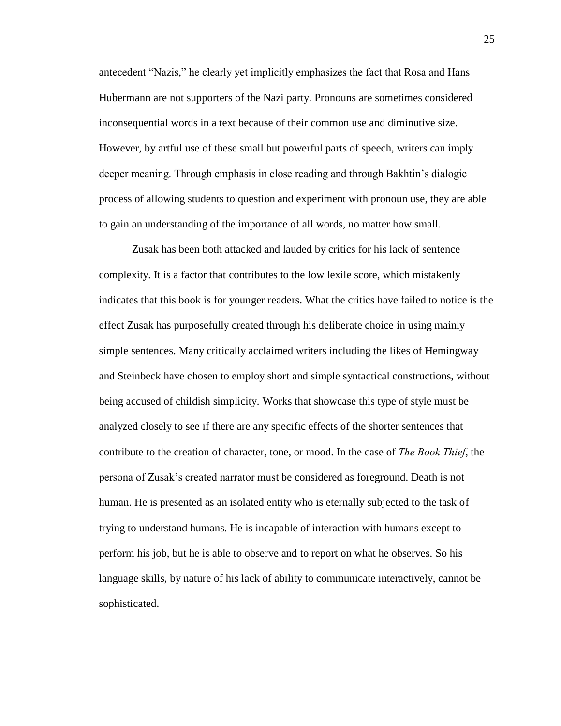antecedent "Nazis," he clearly yet implicitly emphasizes the fact that Rosa and Hans Hubermann are not supporters of the Nazi party. Pronouns are sometimes considered inconsequential words in a text because of their common use and diminutive size. However, by artful use of these small but powerful parts of speech, writers can imply deeper meaning. Through emphasis in close reading and through Bakhtin's dialogic process of allowing students to question and experiment with pronoun use, they are able to gain an understanding of the importance of all words, no matter how small.

Zusak has been both attacked and lauded by critics for his lack of sentence complexity. It is a factor that contributes to the low lexile score, which mistakenly indicates that this book is for younger readers. What the critics have failed to notice is the effect Zusak has purposefully created through his deliberate choice in using mainly simple sentences. Many critically acclaimed writers including the likes of Hemingway and Steinbeck have chosen to employ short and simple syntactical constructions, without being accused of childish simplicity. Works that showcase this type of style must be analyzed closely to see if there are any specific effects of the shorter sentences that contribute to the creation of character, tone, or mood. In the case of *The Book Thief*, the persona of Zusak's created narrator must be considered as foreground. Death is not human. He is presented as an isolated entity who is eternally subjected to the task of trying to understand humans. He is incapable of interaction with humans except to perform his job, but he is able to observe and to report on what he observes. So his language skills, by nature of his lack of ability to communicate interactively, cannot be sophisticated.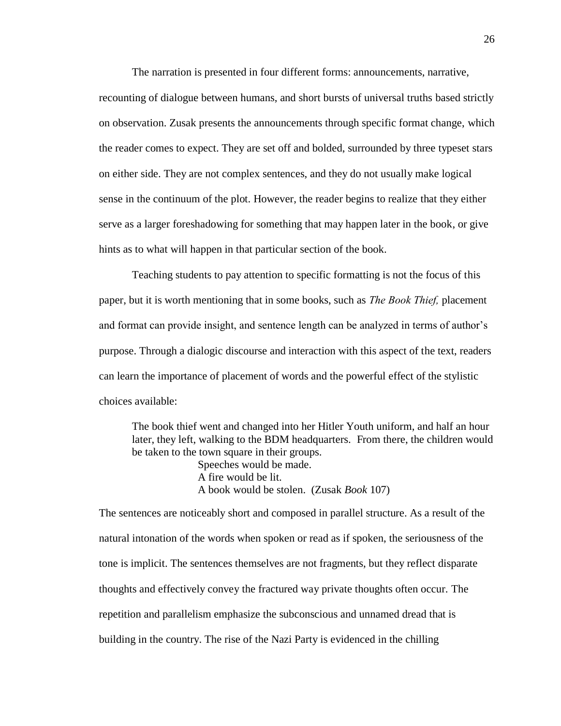The narration is presented in four different forms: announcements, narrative,

recounting of dialogue between humans, and short bursts of universal truths based strictly on observation. Zusak presents the announcements through specific format change, which the reader comes to expect. They are set off and bolded, surrounded by three typeset stars on either side. They are not complex sentences, and they do not usually make logical sense in the continuum of the plot. However, the reader begins to realize that they either serve as a larger foreshadowing for something that may happen later in the book, or give hints as to what will happen in that particular section of the book.

Teaching students to pay attention to specific formatting is not the focus of this paper, but it is worth mentioning that in some books, such as *The Book Thief,* placement and format can provide insight, and sentence length can be analyzed in terms of author's purpose. Through a dialogic discourse and interaction with this aspect of the text, readers can learn the importance of placement of words and the powerful effect of the stylistic choices available:

The book thief went and changed into her Hitler Youth uniform, and half an hour later, they left, walking to the BDM headquarters. From there, the children would be taken to the town square in their groups. Speeches would be made. A fire would be lit. A book would be stolen. (Zusak *Book* 107)

The sentences are noticeably short and composed in parallel structure. As a result of the natural intonation of the words when spoken or read as if spoken, the seriousness of the tone is implicit. The sentences themselves are not fragments, but they reflect disparate thoughts and effectively convey the fractured way private thoughts often occur. The repetition and parallelism emphasize the subconscious and unnamed dread that is building in the country. The rise of the Nazi Party is evidenced in the chilling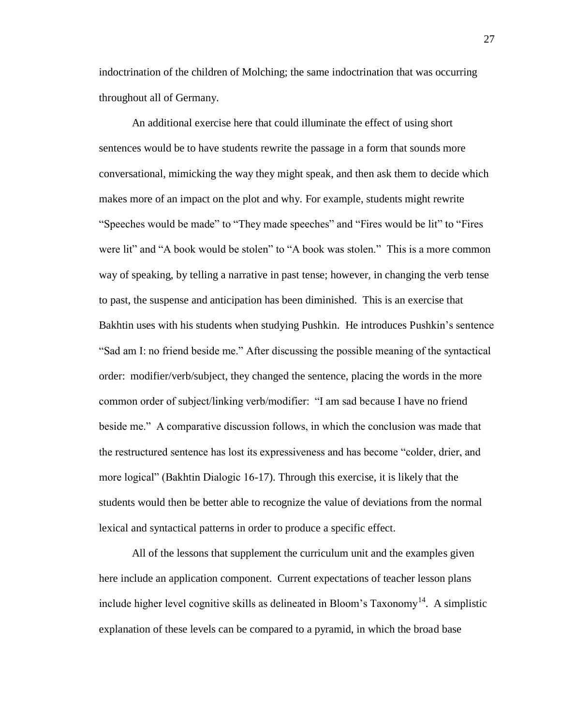indoctrination of the children of Molching; the same indoctrination that was occurring throughout all of Germany.

An additional exercise here that could illuminate the effect of using short sentences would be to have students rewrite the passage in a form that sounds more conversational, mimicking the way they might speak, and then ask them to decide which makes more of an impact on the plot and why. For example, students might rewrite "Speeches would be made" to "They made speeches" and "Fires would be lit" to "Fires were lit" and "A book would be stolen" to "A book was stolen." This is a more common way of speaking, by telling a narrative in past tense; however, in changing the verb tense to past, the suspense and anticipation has been diminished. This is an exercise that Bakhtin uses with his students when studying Pushkin. He introduces Pushkin's sentence "Sad am I: no friend beside me." After discussing the possible meaning of the syntactical order: modifier/verb/subject, they changed the sentence, placing the words in the more common order of subject/linking verb/modifier: "I am sad because I have no friend beside me." A comparative discussion follows, in which the conclusion was made that the restructured sentence has lost its expressiveness and has become "colder, drier, and more logical" (Bakhtin Dialogic 16-17). Through this exercise, it is likely that the students would then be better able to recognize the value of deviations from the normal lexical and syntactical patterns in order to produce a specific effect.

All of the lessons that supplement the curriculum unit and the examples given here include an application component. Current expectations of teacher lesson plans include higher level cognitive skills as delineated in Bloom's Taxonomy<sup>14</sup>. A simplistic explanation of these levels can be compared to a pyramid, in which the broad base

27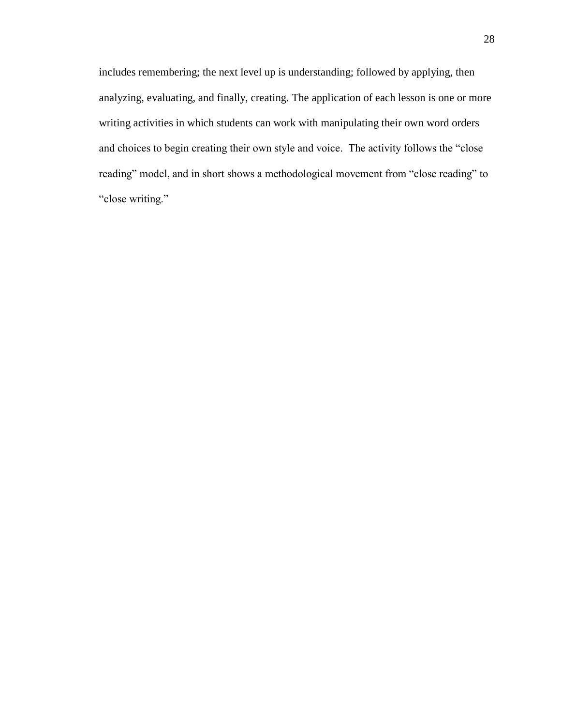includes remembering; the next level up is understanding; followed by applying, then analyzing, evaluating, and finally, creating. The application of each lesson is one or more writing activities in which students can work with manipulating their own word orders and choices to begin creating their own style and voice. The activity follows the "close reading" model, and in short shows a methodological movement from "close reading" to "close writing."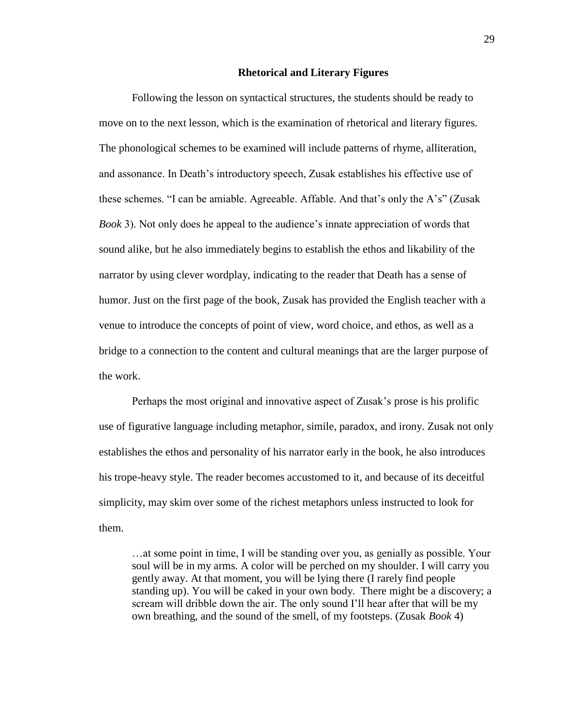#### **Rhetorical and Literary Figures**

Following the lesson on syntactical structures, the students should be ready to move on to the next lesson, which is the examination of rhetorical and literary figures. The phonological schemes to be examined will include patterns of rhyme, alliteration, and assonance. In Death's introductory speech, Zusak establishes his effective use of these schemes. "I can be amiable. Agreeable. Affable. And that's only the A's" (Zusak *Book* 3). Not only does he appeal to the audience's innate appreciation of words that sound alike, but he also immediately begins to establish the ethos and likability of the narrator by using clever wordplay, indicating to the reader that Death has a sense of humor. Just on the first page of the book, Zusak has provided the English teacher with a venue to introduce the concepts of point of view, word choice, and ethos, as well as a bridge to a connection to the content and cultural meanings that are the larger purpose of the work.

Perhaps the most original and innovative aspect of Zusak's prose is his prolific use of figurative language including metaphor, simile, paradox, and irony. Zusak not only establishes the ethos and personality of his narrator early in the book, he also introduces his trope-heavy style. The reader becomes accustomed to it, and because of its deceitful simplicity, may skim over some of the richest metaphors unless instructed to look for them.

…at some point in time, I will be standing over you, as genially as possible. Your soul will be in my arms. A color will be perched on my shoulder. I will carry you gently away. At that moment, you will be lying there (I rarely find people standing up). You will be caked in your own body. There might be a discovery; a scream will dribble down the air. The only sound I'll hear after that will be my own breathing, and the sound of the smell, of my footsteps. (Zusak *Book* 4)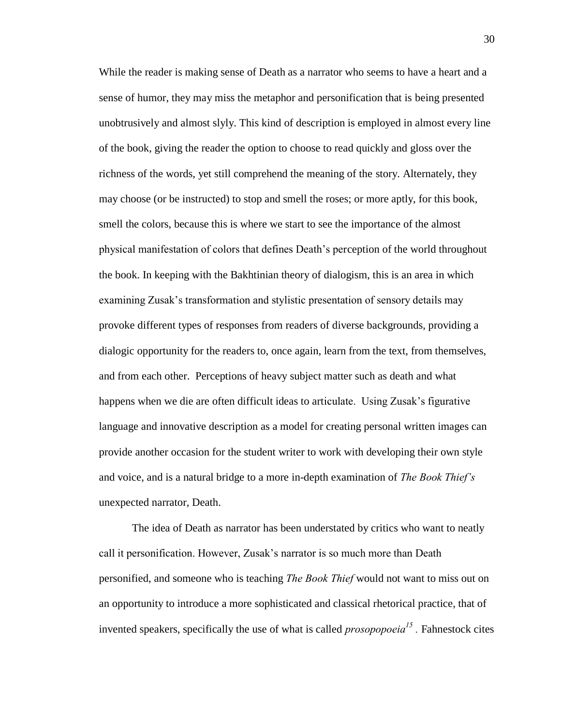While the reader is making sense of Death as a narrator who seems to have a heart and a sense of humor, they may miss the metaphor and personification that is being presented unobtrusively and almost slyly. This kind of description is employed in almost every line of the book, giving the reader the option to choose to read quickly and gloss over the richness of the words, yet still comprehend the meaning of the story. Alternately, they may choose (or be instructed) to stop and smell the roses; or more aptly, for this book, smell the colors, because this is where we start to see the importance of the almost physical manifestation of colors that defines Death's perception of the world throughout the book. In keeping with the Bakhtinian theory of dialogism, this is an area in which examining Zusak's transformation and stylistic presentation of sensory details may provoke different types of responses from readers of diverse backgrounds, providing a dialogic opportunity for the readers to, once again, learn from the text, from themselves, and from each other. Perceptions of heavy subject matter such as death and what happens when we die are often difficult ideas to articulate. Using Zusak's figurative language and innovative description as a model for creating personal written images can provide another occasion for the student writer to work with developing their own style and voice, and is a natural bridge to a more in-depth examination of *The Book Thief's* unexpected narrator, Death.

The idea of Death as narrator has been understated by critics who want to neatly call it personification. However, Zusak's narrator is so much more than Death personified, and someone who is teaching *The Book Thief* would not want to miss out on an opportunity to introduce a more sophisticated and classical rhetorical practice, that of invented speakers, specifically the use of what is called *prosopopoeia<sup>15</sup> .* Fahnestock cites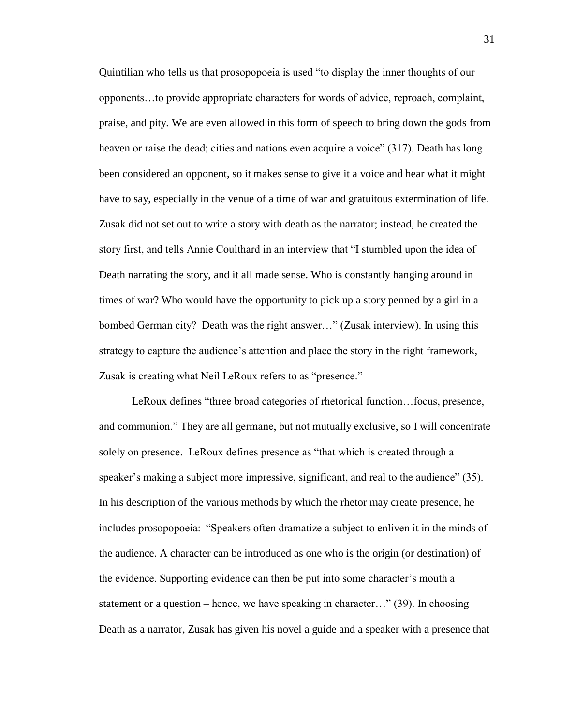Quintilian who tells us that prosopopoeia is used "to display the inner thoughts of our opponents…to provide appropriate characters for words of advice, reproach, complaint, praise, and pity. We are even allowed in this form of speech to bring down the gods from heaven or raise the dead; cities and nations even acquire a voice" (317). Death has long been considered an opponent, so it makes sense to give it a voice and hear what it might have to say, especially in the venue of a time of war and gratuitous extermination of life. Zusak did not set out to write a story with death as the narrator; instead, he created the story first, and tells Annie Coulthard in an interview that "I stumbled upon the idea of Death narrating the story, and it all made sense. Who is constantly hanging around in times of war? Who would have the opportunity to pick up a story penned by a girl in a bombed German city? Death was the right answer…" (Zusak interview). In using this strategy to capture the audience's attention and place the story in the right framework, Zusak is creating what Neil LeRoux refers to as "presence."

LeRoux defines "three broad categories of rhetorical function…focus, presence, and communion." They are all germane, but not mutually exclusive, so I will concentrate solely on presence. LeRoux defines presence as "that which is created through a speaker's making a subject more impressive, significant, and real to the audience" (35). In his description of the various methods by which the rhetor may create presence, he includes prosopopoeia: "Speakers often dramatize a subject to enliven it in the minds of the audience. A character can be introduced as one who is the origin (or destination) of the evidence. Supporting evidence can then be put into some character's mouth a statement or a question – hence, we have speaking in character…" (39). In choosing Death as a narrator, Zusak has given his novel a guide and a speaker with a presence that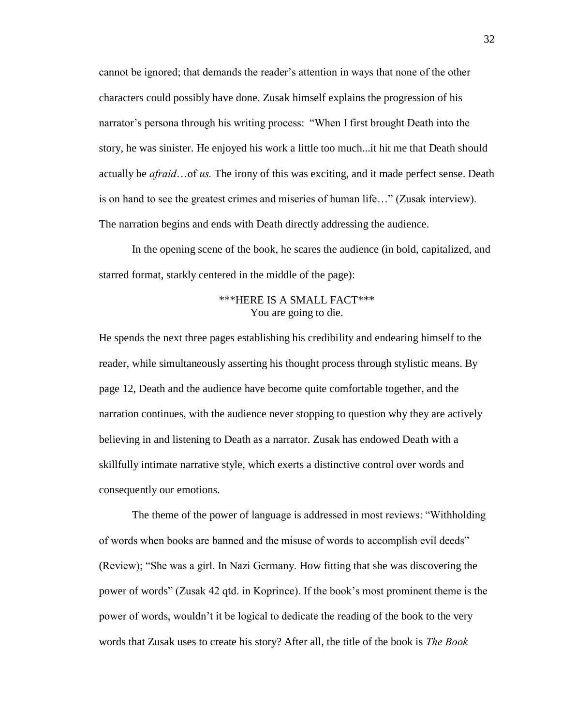cannot be ignored; that demands the reader's attention in ways that none of the other characters could possibly have done. Zusak himself explains the progression of his narrator's persona through his writing process: "When I first brought Death into the story, he was sinister. He enjoyed his work a little too much...it hit me that Death should actually be *afraid*…of *us.* The irony of this was exciting, and it made perfect sense. Death is on hand to see the greatest crimes and miseries of human life…" (Zusak interview). The narration begins and ends with Death directly addressing the audience.

In the opening scene of the book, he scares the audience (in bold, capitalized, and starred format, starkly centered in the middle of the page):

## \*\*\*HERE IS A SMALL FACT\*\*\* You are going to die.

He spends the next three pages establishing his credibility and endearing himself to the reader, while simultaneously asserting his thought process through stylistic means. By page 12, Death and the audience have become quite comfortable together, and the narration continues, with the audience never stopping to question why they are actively believing in and listening to Death as a narrator. Zusak has endowed Death with a skillfully intimate narrative style, which exerts a distinctive control over words and consequently our emotions.

The theme of the power of language is addressed in most reviews: "Withholding of words when books are banned and the misuse of words to accomplish evil deeds" (Review); "She was a girl. In Nazi Germany. How fitting that she was discovering the power of words" (Zusak 42 qtd. in Koprince). If the book's most prominent theme is the power of words, wouldn't it be logical to dedicate the reading of the book to the very words that Zusak uses to create his story? After all, the title of the book is *The Book*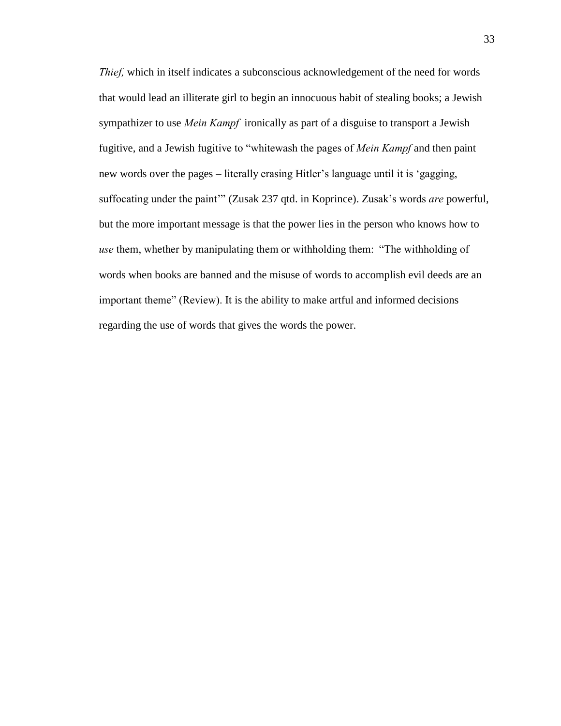*Thief,* which in itself indicates a subconscious acknowledgement of the need for words that would lead an illiterate girl to begin an innocuous habit of stealing books; a Jewish sympathizer to use *Mein Kampf* ironically as part of a disguise to transport a Jewish fugitive, and a Jewish fugitive to "whitewash the pages of *Mein Kampf* and then paint new words over the pages – literally erasing Hitler's language until it is 'gagging, suffocating under the paint'" (Zusak 237 qtd. in Koprince). Zusak's words *are* powerful, but the more important message is that the power lies in the person who knows how to *use* them, whether by manipulating them or withholding them: "The withholding of words when books are banned and the misuse of words to accomplish evil deeds are an important theme" (Review). It is the ability to make artful and informed decisions regarding the use of words that gives the words the power.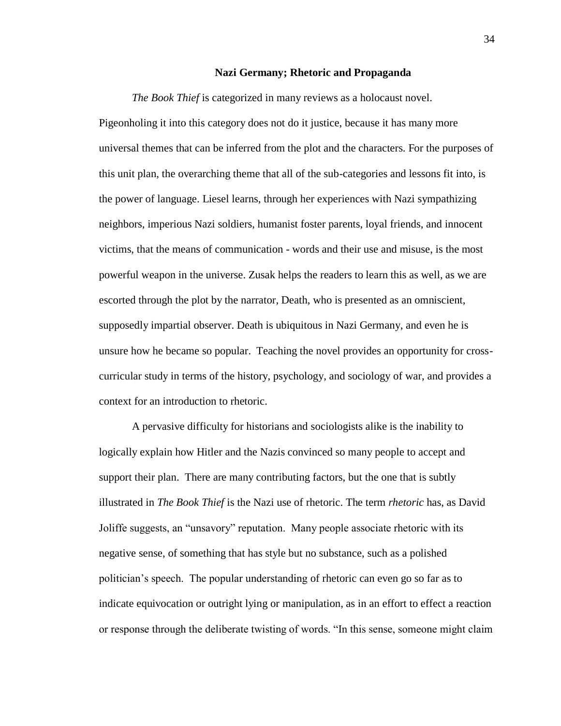#### **Nazi Germany; Rhetoric and Propaganda**

*The Book Thief* is categorized in many reviews as a holocaust novel. Pigeonholing it into this category does not do it justice, because it has many more universal themes that can be inferred from the plot and the characters. For the purposes of this unit plan, the overarching theme that all of the sub-categories and lessons fit into, is the power of language. Liesel learns, through her experiences with Nazi sympathizing neighbors, imperious Nazi soldiers, humanist foster parents, loyal friends, and innocent victims, that the means of communication - words and their use and misuse, is the most powerful weapon in the universe. Zusak helps the readers to learn this as well, as we are escorted through the plot by the narrator, Death, who is presented as an omniscient, supposedly impartial observer. Death is ubiquitous in Nazi Germany, and even he is unsure how he became so popular. Teaching the novel provides an opportunity for crosscurricular study in terms of the history, psychology, and sociology of war, and provides a context for an introduction to rhetoric.

A pervasive difficulty for historians and sociologists alike is the inability to logically explain how Hitler and the Nazis convinced so many people to accept and support their plan. There are many contributing factors, but the one that is subtly illustrated in *The Book Thief* is the Nazi use of rhetoric. The term *rhetoric* has, as David Joliffe suggests, an "unsavory" reputation. Many people associate rhetoric with its negative sense, of something that has style but no substance, such as a polished politician's speech. The popular understanding of rhetoric can even go so far as to indicate equivocation or outright lying or manipulation, as in an effort to effect a reaction or response through the deliberate twisting of words. "In this sense, someone might claim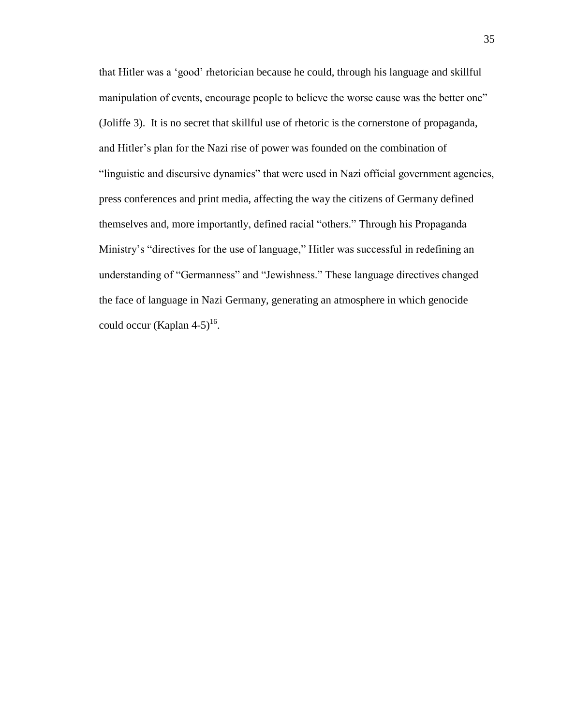that Hitler was a 'good' rhetorician because he could, through his language and skillful manipulation of events, encourage people to believe the worse cause was the better one" (Joliffe 3). It is no secret that skillful use of rhetoric is the cornerstone of propaganda, and Hitler's plan for the Nazi rise of power was founded on the combination of "linguistic and discursive dynamics" that were used in Nazi official government agencies, press conferences and print media, affecting the way the citizens of Germany defined themselves and, more importantly, defined racial "others." Through his Propaganda Ministry's "directives for the use of language," Hitler was successful in redefining an understanding of "Germanness" and "Jewishness." These language directives changed the face of language in Nazi Germany, generating an atmosphere in which genocide could occur (Kaplan 4-5)<sup>16</sup>.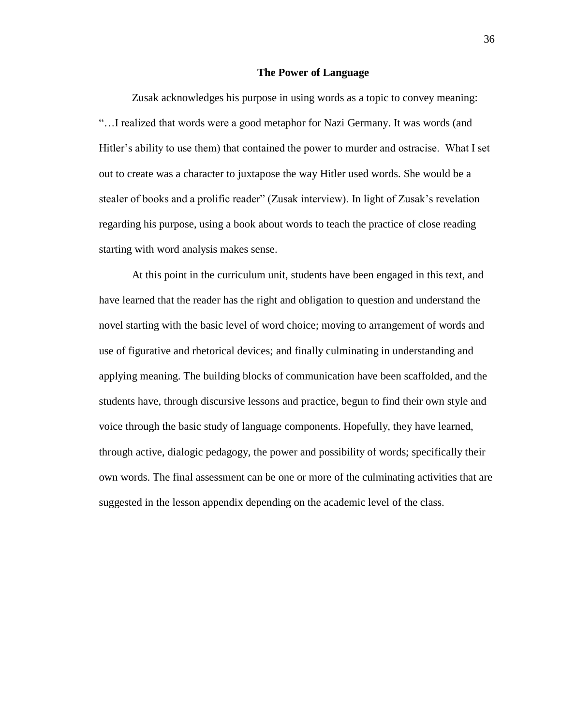#### **The Power of Language**

Zusak acknowledges his purpose in using words as a topic to convey meaning: "…I realized that words were a good metaphor for Nazi Germany. It was words (and Hitler's ability to use them) that contained the power to murder and ostracise. What I set out to create was a character to juxtapose the way Hitler used words. She would be a stealer of books and a prolific reader" (Zusak interview). In light of Zusak's revelation regarding his purpose, using a book about words to teach the practice of close reading starting with word analysis makes sense.

At this point in the curriculum unit, students have been engaged in this text, and have learned that the reader has the right and obligation to question and understand the novel starting with the basic level of word choice; moving to arrangement of words and use of figurative and rhetorical devices; and finally culminating in understanding and applying meaning. The building blocks of communication have been scaffolded, and the students have, through discursive lessons and practice, begun to find their own style and voice through the basic study of language components. Hopefully, they have learned, through active, dialogic pedagogy, the power and possibility of words; specifically their own words. The final assessment can be one or more of the culminating activities that are suggested in the lesson appendix depending on the academic level of the class.

36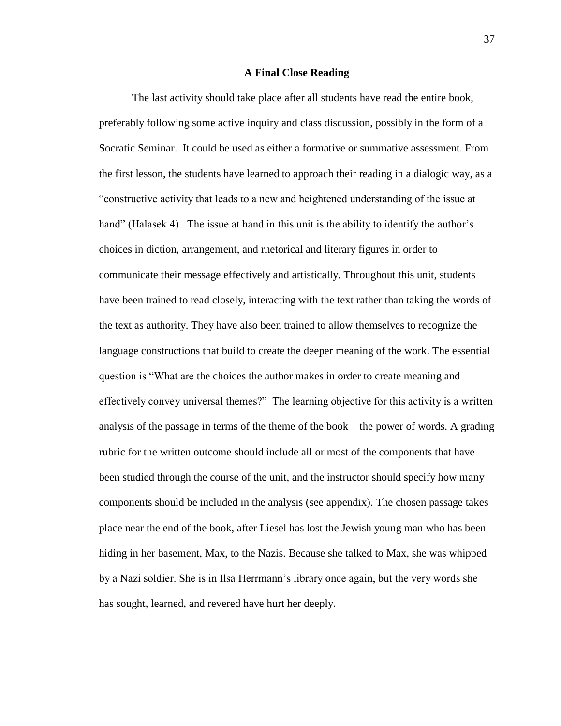#### **A Final Close Reading**

The last activity should take place after all students have read the entire book, preferably following some active inquiry and class discussion, possibly in the form of a Socratic Seminar. It could be used as either a formative or summative assessment. From the first lesson, the students have learned to approach their reading in a dialogic way, as a "constructive activity that leads to a new and heightened understanding of the issue at hand" (Halasek 4). The issue at hand in this unit is the ability to identify the author's choices in diction, arrangement, and rhetorical and literary figures in order to communicate their message effectively and artistically. Throughout this unit, students have been trained to read closely, interacting with the text rather than taking the words of the text as authority. They have also been trained to allow themselves to recognize the language constructions that build to create the deeper meaning of the work. The essential question is "What are the choices the author makes in order to create meaning and effectively convey universal themes?" The learning objective for this activity is a written analysis of the passage in terms of the theme of the book – the power of words. A grading rubric for the written outcome should include all or most of the components that have been studied through the course of the unit, and the instructor should specify how many components should be included in the analysis (see appendix). The chosen passage takes place near the end of the book, after Liesel has lost the Jewish young man who has been hiding in her basement, Max, to the Nazis. Because she talked to Max, she was whipped by a Nazi soldier. She is in Ilsa Herrmann's library once again, but the very words she has sought, learned, and revered have hurt her deeply.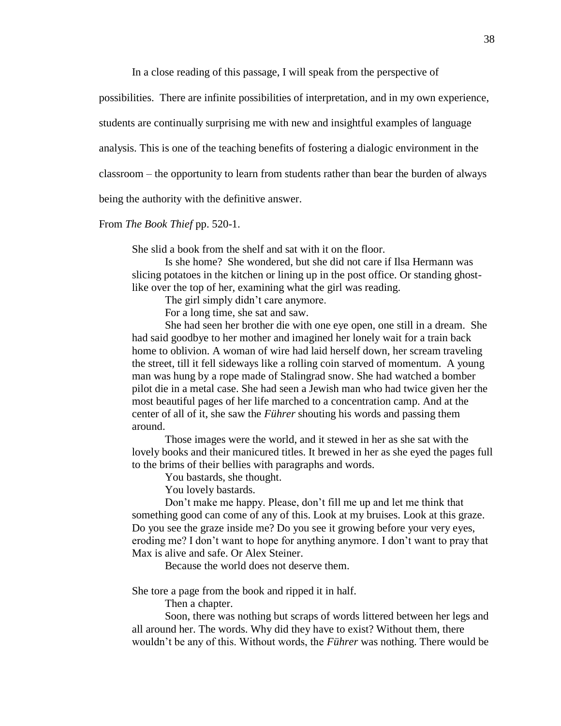In a close reading of this passage, I will speak from the perspective of

possibilities. There are infinite possibilities of interpretation, and in my own experience,

students are continually surprising me with new and insightful examples of language

analysis. This is one of the teaching benefits of fostering a dialogic environment in the

classroom – the opportunity to learn from students rather than bear the burden of always

being the authority with the definitive answer.

#### From *The Book Thief* pp. 520-1.

She slid a book from the shelf and sat with it on the floor.

Is she home? She wondered, but she did not care if Ilsa Hermann was slicing potatoes in the kitchen or lining up in the post office. Or standing ghostlike over the top of her, examining what the girl was reading.

The girl simply didn't care anymore.

For a long time, she sat and saw.

She had seen her brother die with one eye open, one still in a dream. She had said goodbye to her mother and imagined her lonely wait for a train back home to oblivion. A woman of wire had laid herself down, her scream traveling the street, till it fell sideways like a rolling coin starved of momentum. A young man was hung by a rope made of Stalingrad snow. She had watched a bomber pilot die in a metal case. She had seen a Jewish man who had twice given her the most beautiful pages of her life marched to a concentration camp. And at the center of all of it, she saw the *Führer* shouting his words and passing them around.

Those images were the world, and it stewed in her as she sat with the lovely books and their manicured titles. It brewed in her as she eyed the pages full to the brims of their bellies with paragraphs and words.

You bastards, she thought.

You lovely bastards.

Don't make me happy. Please, don't fill me up and let me think that something good can come of any of this. Look at my bruises. Look at this graze. Do you see the graze inside me? Do you see it growing before your very eyes, eroding me? I don't want to hope for anything anymore. I don't want to pray that Max is alive and safe. Or Alex Steiner.

Because the world does not deserve them.

She tore a page from the book and ripped it in half.

Then a chapter.

Soon, there was nothing but scraps of words littered between her legs and all around her. The words. Why did they have to exist? Without them, there wouldn't be any of this. Without words, the *Führer* was nothing. There would be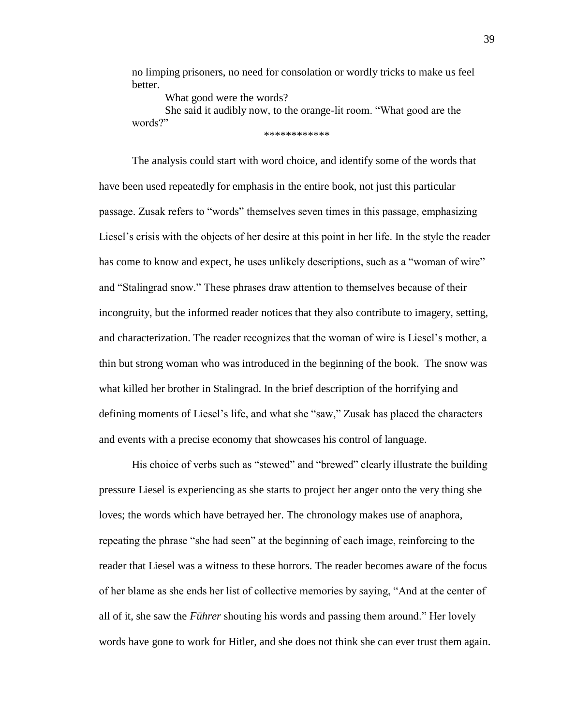no limping prisoners, no need for consolation or wordly tricks to make us feel better.

What good were the words?

She said it audibly now, to the orange-lit room. "What good are the words?" \*\*\*\*\*\*\*\*\*\*\*\*

The analysis could start with word choice, and identify some of the words that have been used repeatedly for emphasis in the entire book, not just this particular passage. Zusak refers to "words" themselves seven times in this passage, emphasizing Liesel's crisis with the objects of her desire at this point in her life. In the style the reader has come to know and expect, he uses unlikely descriptions, such as a "woman of wire" and "Stalingrad snow." These phrases draw attention to themselves because of their incongruity, but the informed reader notices that they also contribute to imagery, setting, and characterization. The reader recognizes that the woman of wire is Liesel's mother, a thin but strong woman who was introduced in the beginning of the book. The snow was what killed her brother in Stalingrad. In the brief description of the horrifying and defining moments of Liesel's life, and what she "saw," Zusak has placed the characters and events with a precise economy that showcases his control of language.

His choice of verbs such as "stewed" and "brewed" clearly illustrate the building pressure Liesel is experiencing as she starts to project her anger onto the very thing she loves; the words which have betrayed her. The chronology makes use of anaphora, repeating the phrase "she had seen" at the beginning of each image, reinforcing to the reader that Liesel was a witness to these horrors. The reader becomes aware of the focus of her blame as she ends her list of collective memories by saying, "And at the center of all of it, she saw the *Führer* shouting his words and passing them around." Her lovely words have gone to work for Hitler, and she does not think she can ever trust them again.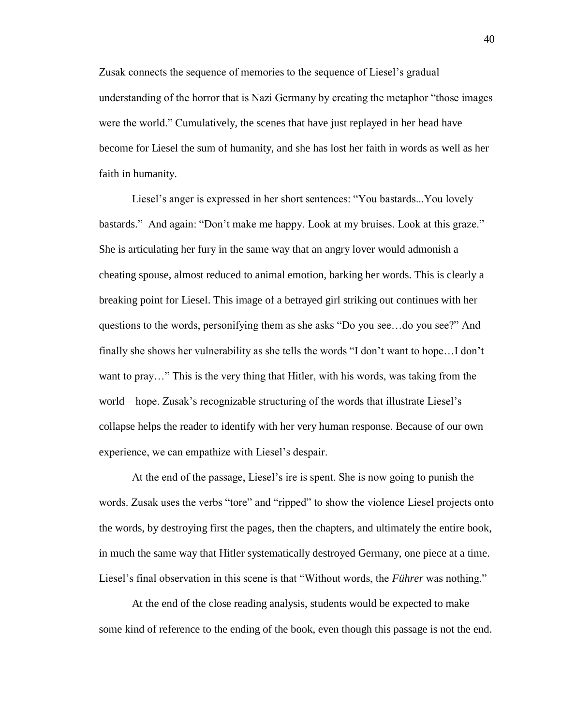Zusak connects the sequence of memories to the sequence of Liesel's gradual understanding of the horror that is Nazi Germany by creating the metaphor "those images were the world." Cumulatively, the scenes that have just replayed in her head have become for Liesel the sum of humanity, and she has lost her faith in words as well as her faith in humanity.

Liesel's anger is expressed in her short sentences: "You bastards...You lovely bastards." And again: "Don't make me happy. Look at my bruises. Look at this graze." She is articulating her fury in the same way that an angry lover would admonish a cheating spouse, almost reduced to animal emotion, barking her words. This is clearly a breaking point for Liesel. This image of a betrayed girl striking out continues with her questions to the words, personifying them as she asks "Do you see…do you see?" And finally she shows her vulnerability as she tells the words "I don't want to hope…I don't want to pray…" This is the very thing that Hitler, with his words, was taking from the world – hope. Zusak's recognizable structuring of the words that illustrate Liesel's collapse helps the reader to identify with her very human response. Because of our own experience, we can empathize with Liesel's despair.

At the end of the passage, Liesel's ire is spent. She is now going to punish the words. Zusak uses the verbs "tore" and "ripped" to show the violence Liesel projects onto the words, by destroying first the pages, then the chapters, and ultimately the entire book, in much the same way that Hitler systematically destroyed Germany, one piece at a time. Liesel's final observation in this scene is that "Without words, the *Führer* was nothing."

At the end of the close reading analysis, students would be expected to make some kind of reference to the ending of the book, even though this passage is not the end.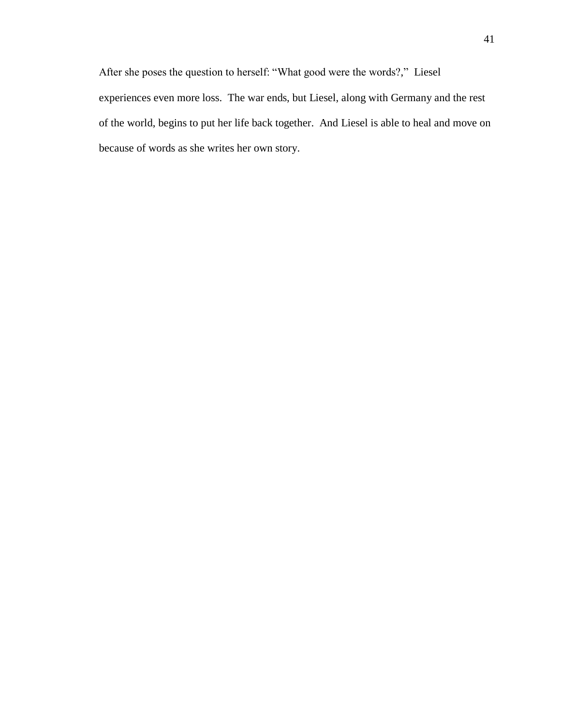After she poses the question to herself: "What good were the words?," Liesel experiences even more loss. The war ends, but Liesel, along with Germany and the rest of the world, begins to put her life back together. And Liesel is able to heal and move on because of words as she writes her own story.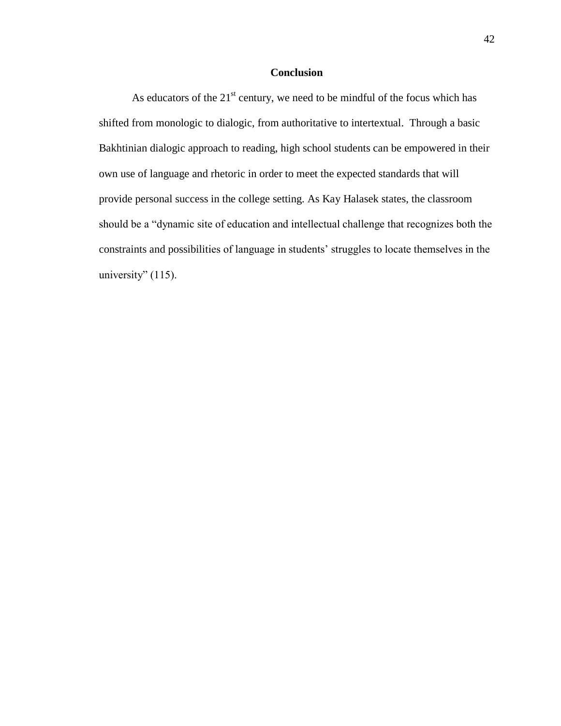### **Conclusion**

As educators of the  $21<sup>st</sup>$  century, we need to be mindful of the focus which has shifted from monologic to dialogic, from authoritative to intertextual. Through a basic Bakhtinian dialogic approach to reading, high school students can be empowered in their own use of language and rhetoric in order to meet the expected standards that will provide personal success in the college setting. As Kay Halasek states, the classroom should be a "dynamic site of education and intellectual challenge that recognizes both the constraints and possibilities of language in students' struggles to locate themselves in the university"  $(115)$ .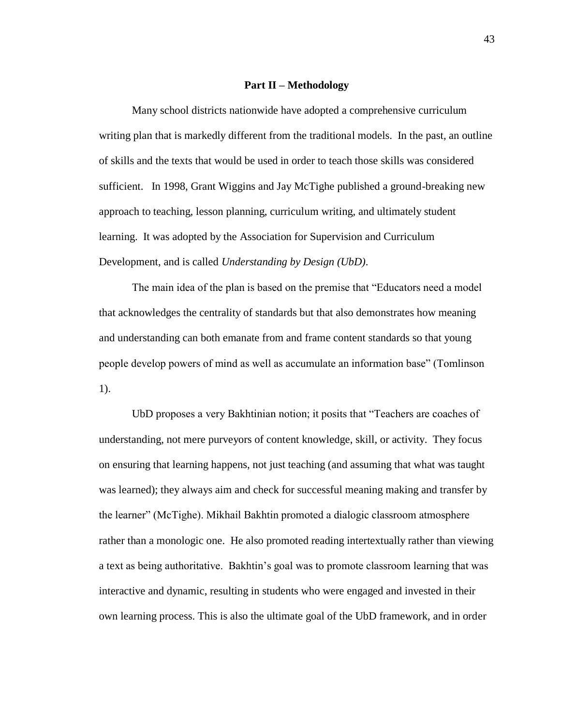#### **Part II – Methodology**

Many school districts nationwide have adopted a comprehensive curriculum writing plan that is markedly different from the traditional models. In the past, an outline of skills and the texts that would be used in order to teach those skills was considered sufficient. In 1998, Grant Wiggins and Jay McTighe published a ground-breaking new approach to teaching, lesson planning, curriculum writing, and ultimately student learning. It was adopted by the Association for Supervision and Curriculum Development, and is called *Understanding by Design (UbD)*.

The main idea of the plan is based on the premise that "Educators need a model that acknowledges the centrality of standards but that also demonstrates how meaning and understanding can both emanate from and frame content standards so that young people develop powers of mind as well as accumulate an information base" (Tomlinson 1).

UbD proposes a very Bakhtinian notion; it posits that "Teachers are coaches of understanding, not mere purveyors of content knowledge, skill, or activity. They focus on ensuring that learning happens, not just teaching (and assuming that what was taught was learned); they always aim and check for successful meaning making and transfer by the learner" (McTighe). Mikhail Bakhtin promoted a dialogic classroom atmosphere rather than a monologic one. He also promoted reading intertextually rather than viewing a text as being authoritative. Bakhtin's goal was to promote classroom learning that was interactive and dynamic, resulting in students who were engaged and invested in their own learning process. This is also the ultimate goal of the UbD framework, and in order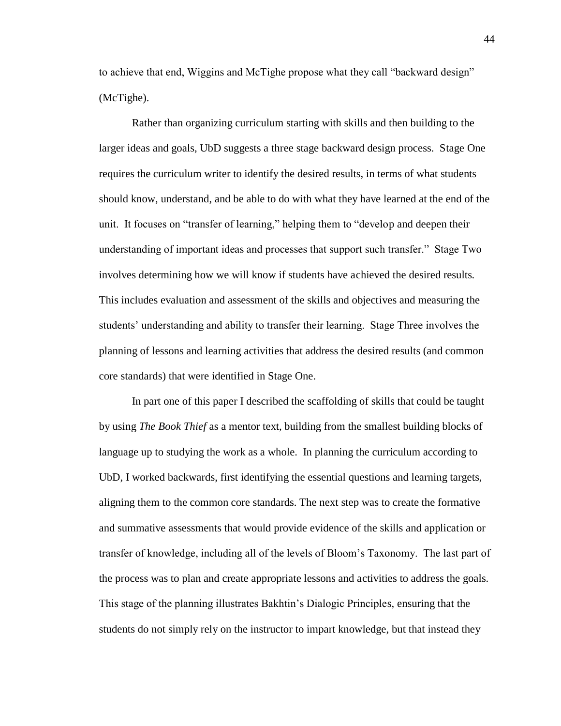to achieve that end, Wiggins and McTighe propose what they call "backward design" (McTighe).

Rather than organizing curriculum starting with skills and then building to the larger ideas and goals, UbD suggests a three stage backward design process. Stage One requires the curriculum writer to identify the desired results, in terms of what students should know, understand, and be able to do with what they have learned at the end of the unit. It focuses on "transfer of learning," helping them to "develop and deepen their understanding of important ideas and processes that support such transfer." Stage Two involves determining how we will know if students have achieved the desired results. This includes evaluation and assessment of the skills and objectives and measuring the students' understanding and ability to transfer their learning. Stage Three involves the planning of lessons and learning activities that address the desired results (and common core standards) that were identified in Stage One.

In part one of this paper I described the scaffolding of skills that could be taught by using *The Book Thief* as a mentor text, building from the smallest building blocks of language up to studying the work as a whole. In planning the curriculum according to UbD, I worked backwards, first identifying the essential questions and learning targets, aligning them to the common core standards. The next step was to create the formative and summative assessments that would provide evidence of the skills and application or transfer of knowledge, including all of the levels of Bloom's Taxonomy. The last part of the process was to plan and create appropriate lessons and activities to address the goals. This stage of the planning illustrates Bakhtin's Dialogic Principles, ensuring that the students do not simply rely on the instructor to impart knowledge, but that instead they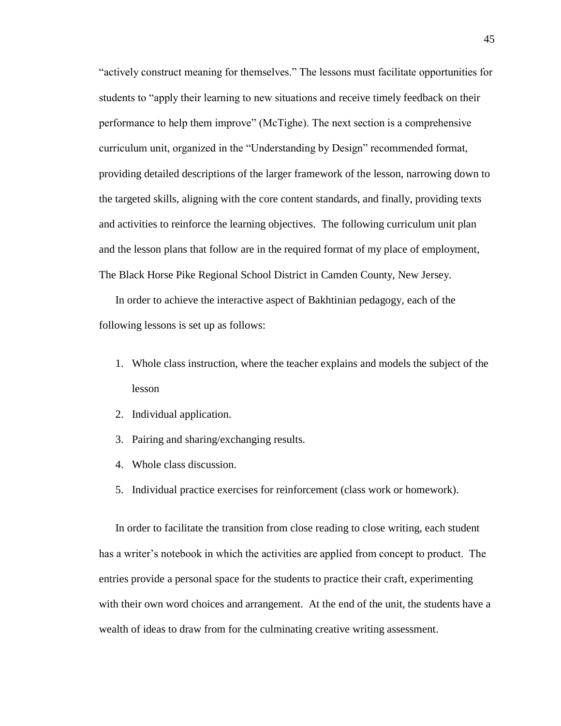"actively construct meaning for themselves." The lessons must facilitate opportunities for students to "apply their learning to new situations and receive timely feedback on their performance to help them improve" (McTighe). The next section is a comprehensive curriculum unit, organized in the "Understanding by Design" recommended format, providing detailed descriptions of the larger framework of the lesson, narrowing down to the targeted skills, aligning with the core content standards, and finally, providing texts and activities to reinforce the learning objectives. The following curriculum unit plan and the lesson plans that follow are in the required format of my place of employment, The Black Horse Pike Regional School District in Camden County, New Jersey.

In order to achieve the interactive aspect of Bakhtinian pedagogy, each of the following lessons is set up as follows:

- 1. Whole class instruction, where the teacher explains and models the subject of the lesson
- 2. Individual application.
- 3. Pairing and sharing/exchanging results.
- 4. Whole class discussion.
- 5. Individual practice exercises for reinforcement (class work or homework).

In order to facilitate the transition from close reading to close writing, each student has a writer's notebook in which the activities are applied from concept to product. The entries provide a personal space for the students to practice their craft, experimenting with their own word choices and arrangement. At the end of the unit, the students have a wealth of ideas to draw from for the culminating creative writing assessment.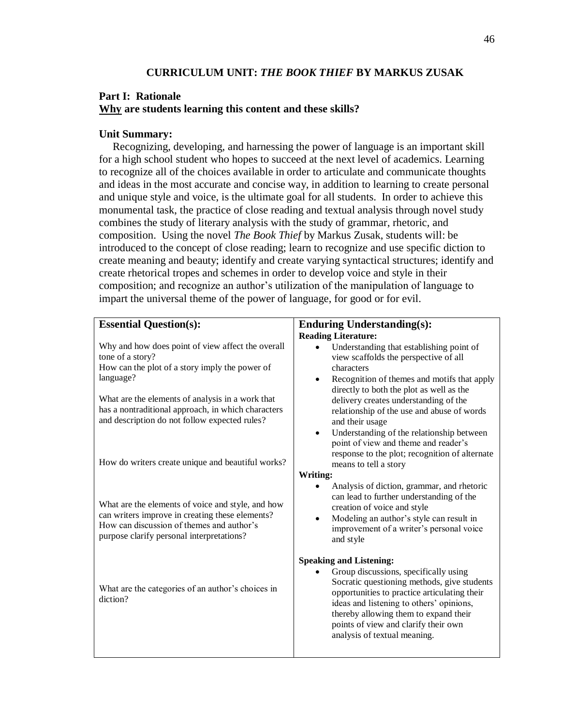### **Part I: Rationale Why are students learning this content and these skills?**

#### **Unit Summary:**

 Recognizing, developing, and harnessing the power of language is an important skill for a high school student who hopes to succeed at the next level of academics. Learning to recognize all of the choices available in order to articulate and communicate thoughts and ideas in the most accurate and concise way, in addition to learning to create personal and unique style and voice, is the ultimate goal for all students. In order to achieve this monumental task, the practice of close reading and textual analysis through novel study combines the study of literary analysis with the study of grammar, rhetoric, and composition. Using the novel *The Book Thief* by Markus Zusak, students will: be introduced to the concept of close reading; learn to recognize and use specific diction to create meaning and beauty; identify and create varying syntactical structures; identify and create rhetorical tropes and schemes in order to develop voice and style in their composition; and recognize an author's utilization of the manipulation of language to impart the universal theme of the power of language, for good or for evil.

## **Essential Question(s):**

Why and how does point of view affect the overall tone of a story?

How can the plot of a story imply the power of language?

What are the elements of analysis in a work that has a nontraditional approach, in which characters and description do not follow expected rules?

How do writers create unique and beautiful works?

What are the elements of voice and style, and how can writers improve in creating these elements? How can discussion of themes and author's purpose clarify personal interpretations?

What are the categories of an author's choices in diction?

#### **Enduring Understanding(s): Reading Literature:**

- Understanding that establishing point of view scaffolds the perspective of all characters
- Recognition of themes and motifs that apply directly to both the plot as well as the delivery creates understanding of the relationship of the use and abuse of words and their usage
- Understanding of the relationship between point of view and theme and reader's response to the plot; recognition of alternate means to tell a story

#### **Writing:**

- Analysis of diction, grammar, and rhetoric can lead to further understanding of the creation of voice and style
- Modeling an author's style can result in improvement of a writer's personal voice and style

#### **Speaking and Listening:**

 Group discussions, specifically using Socratic questioning methods, give students opportunities to practice articulating their ideas and listening to others' opinions, thereby allowing them to expand their points of view and clarify their own analysis of textual meaning.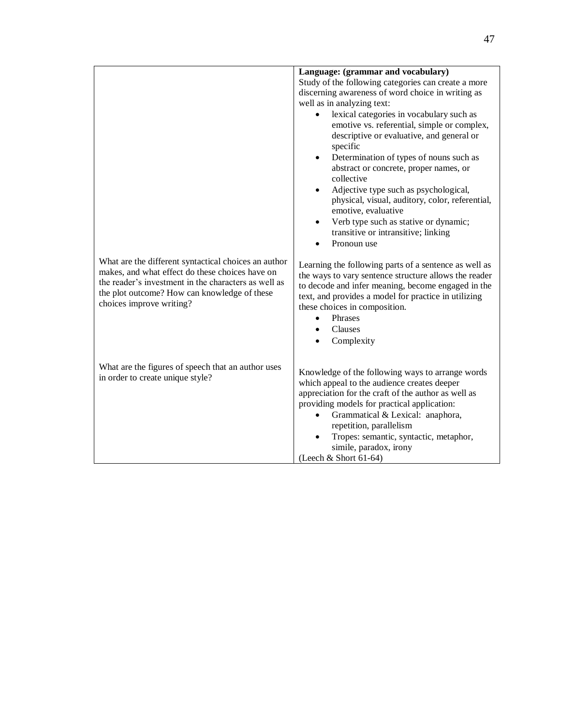|                                                                                                                                                                                                                                             | Language: (grammar and vocabulary)<br>Study of the following categories can create a more<br>discerning awareness of word choice in writing as<br>well as in analyzing text:<br>lexical categories in vocabulary such as<br>٠<br>emotive vs. referential, simple or complex,<br>descriptive or evaluative, and general or<br>specific<br>Determination of types of nouns such as<br>$\bullet$<br>abstract or concrete, proper names, or<br>collective<br>Adjective type such as psychological,<br>$\bullet$<br>physical, visual, auditory, color, referential,<br>emotive, evaluative<br>Verb type such as stative or dynamic;<br>$\bullet$<br>transitive or intransitive; linking<br>Pronoun use |
|---------------------------------------------------------------------------------------------------------------------------------------------------------------------------------------------------------------------------------------------|---------------------------------------------------------------------------------------------------------------------------------------------------------------------------------------------------------------------------------------------------------------------------------------------------------------------------------------------------------------------------------------------------------------------------------------------------------------------------------------------------------------------------------------------------------------------------------------------------------------------------------------------------------------------------------------------------|
| What are the different syntactical choices an author<br>makes, and what effect do these choices have on<br>the reader's investment in the characters as well as<br>the plot outcome? How can knowledge of these<br>choices improve writing? | Learning the following parts of a sentence as well as<br>the ways to vary sentence structure allows the reader<br>to decode and infer meaning, become engaged in the<br>text, and provides a model for practice in utilizing<br>these choices in composition.<br>Phrases<br>$\bullet$<br>Clauses<br>Complexity                                                                                                                                                                                                                                                                                                                                                                                    |
| What are the figures of speech that an author uses<br>in order to create unique style?                                                                                                                                                      | Knowledge of the following ways to arrange words<br>which appeal to the audience creates deeper<br>appreciation for the craft of the author as well as<br>providing models for practical application:<br>Grammatical & Lexical: anaphora,<br>repetition, parallelism<br>Tropes: semantic, syntactic, metaphor,<br>simile, paradox, irony<br>(Leech & Short 61-64)                                                                                                                                                                                                                                                                                                                                 |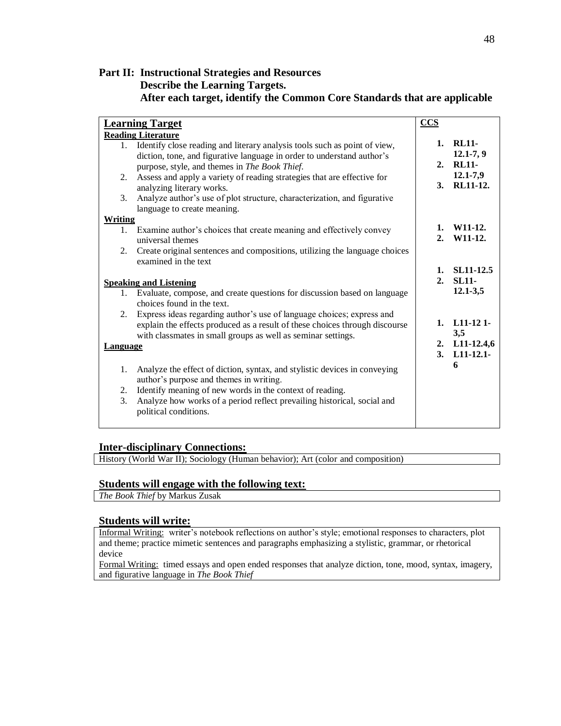## **Part II: Instructional Strategies and Resources Describe the Learning Targets. After each target, identify the Common Core Standards that are applicable**

| <b>Learning Target</b> |                                                                                                                                             | $ccs$          |                      |
|------------------------|---------------------------------------------------------------------------------------------------------------------------------------------|----------------|----------------------|
|                        | <b>Reading Literature</b>                                                                                                                   |                |                      |
|                        | 1. Identify close reading and literary analysis tools such as point of view,                                                                |                | 1. RL11-             |
|                        | diction, tone, and figurative language in order to understand author's                                                                      |                | $12.1 - 7, 9$        |
|                        | purpose, style, and themes in The Book Thief.                                                                                               |                | 2. RL11-             |
| 2.                     | Assess and apply a variety of reading strategies that are effective for                                                                     |                | 12.1-7,9             |
|                        | analyzing literary works.                                                                                                                   |                | 3. RL11-12.          |
| 3.                     | Analyze author's use of plot structure, characterization, and figurative<br>language to create meaning.                                     |                |                      |
| Writing                |                                                                                                                                             |                |                      |
|                        | 1. Examine author's choices that create meaning and effectively convey                                                                      | 1.             | W <sub>11</sub> -12. |
|                        | universal themes                                                                                                                            | 2 <sub>1</sub> | W11-12.              |
| 2.                     | Create original sentences and compositions, utilizing the language choices<br>examined in the text                                          |                |                      |
|                        |                                                                                                                                             | 1.             | SL11-12.5            |
|                        | <b>Speaking and Listening</b>                                                                                                               | 2.             | <b>SL11-</b>         |
|                        | 1. Evaluate, compose, and create questions for discussion based on language                                                                 |                | $12.1 - 3.5$         |
|                        | choices found in the text.                                                                                                                  |                |                      |
| 2.                     | Express ideas regarding author's use of language choices; express and                                                                       |                |                      |
|                        | explain the effects produced as a result of these choices through discourse<br>with classmates in small groups as well as seminar settings. | 1.             | $L11-121-$<br>3,5    |
| <b>Language</b>        |                                                                                                                                             |                | 2. L11-12.4,6        |
|                        |                                                                                                                                             |                | $3. L11-12.1-$       |
| 1.                     | Analyze the effect of diction, syntax, and stylistic devices in conveying<br>author's purpose and themes in writing.                        |                | 6                    |
| 2.                     | Identify meaning of new words in the context of reading.                                                                                    |                |                      |
| 3.                     | Analyze how works of a period reflect prevailing historical, social and                                                                     |                |                      |
|                        | political conditions.                                                                                                                       |                |                      |

#### **Inter-disciplinary Connections:**

History (World War II); Sociology (Human behavior); Art (color and composition)

#### **Students will engage with the following text:**

*The Book Thief* by Markus Zusak

#### **Students will write:**

Informal Writing: writer's notebook reflections on author's style; emotional responses to characters, plot and theme; practice mimetic sentences and paragraphs emphasizing a stylistic, grammar, or rhetorical device

Formal Writing: timed essays and open ended responses that analyze diction, tone, mood, syntax, imagery, and figurative language in *The Book Thief*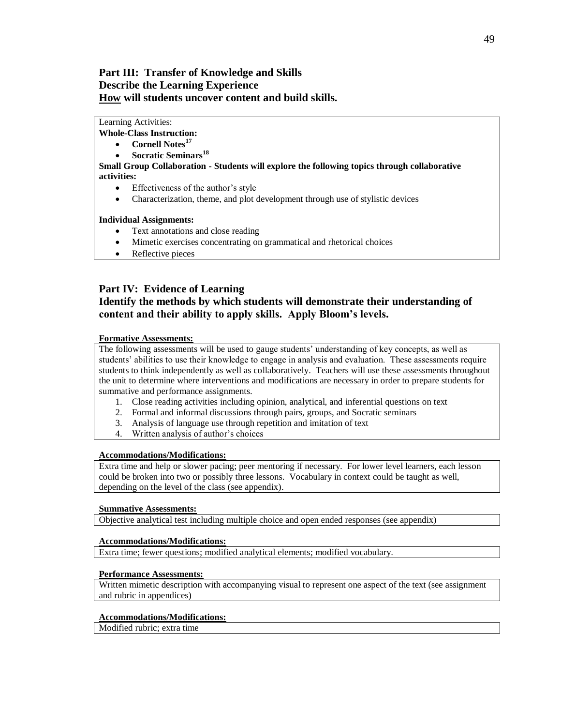### **Part III: Transfer of Knowledge and Skills Describe the Learning Experience How will students uncover content and build skills.**

#### Learning Activities:

**Whole-Class Instruction:**

- **Cornell Notes<sup>17</sup>**
- **Socratic Seminars<sup>18</sup>**

**Small Group Collaboration - Students will explore the following topics through collaborative activities:**

- Effectiveness of the author's style
- Characterization, theme, and plot development through use of stylistic devices

#### **Individual Assignments:**

- Text annotations and close reading
- Mimetic exercises concentrating on grammatical and rhetorical choices
- Reflective pieces

#### **Part IV: Evidence of Learning**

## **Identify the methods by which students will demonstrate their understanding of content and their ability to apply skills. Apply Bloom's levels.**

#### **Formative Assessments:**

The following assessments will be used to gauge students' understanding of key concepts, as well as students' abilities to use their knowledge to engage in analysis and evaluation. These assessments require students to think independently as well as collaboratively. Teachers will use these assessments throughout the unit to determine where interventions and modifications are necessary in order to prepare students for summative and performance assignments.

- 1. Close reading activities including opinion, analytical, and inferential questions on text
- 2. Formal and informal discussions through pairs, groups, and Socratic seminars
- 3. Analysis of language use through repetition and imitation of text
- 4. Written analysis of author's choices

#### **Accommodations/Modifications:**

Extra time and help or slower pacing; peer mentoring if necessary. For lower level learners, each lesson could be broken into two or possibly three lessons. Vocabulary in context could be taught as well, depending on the level of the class (see appendix).

#### **Summative Assessments:**

Objective analytical test including multiple choice and open ended responses (see appendix)

#### **Accommodations/Modifications:**

Extra time; fewer questions; modified analytical elements; modified vocabulary.

#### **Performance Assessments:**

Written mimetic description with accompanying visual to represent one aspect of the text (see assignment and rubric in appendices)

#### **Accommodations/Modifications:**

Modified rubric; extra time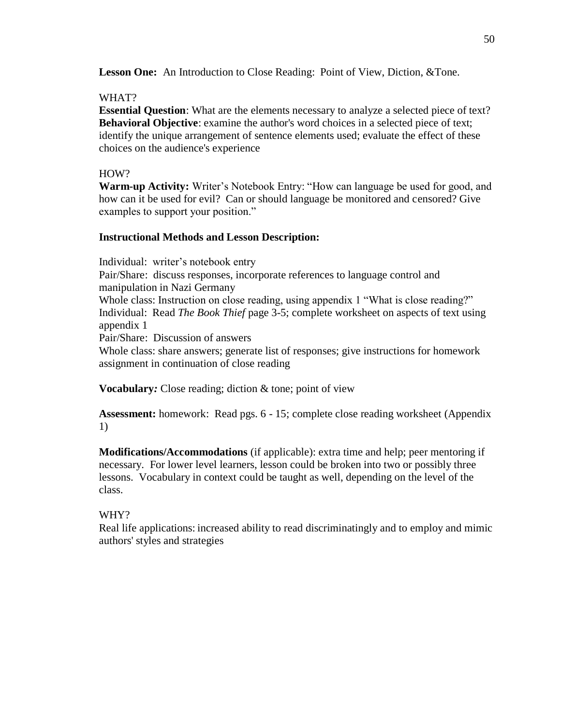**Lesson One:** An Introduction to Close Reading: Point of View, Diction, &Tone.

### WHAT?

**Essential Question**: What are the elements necessary to analyze a selected piece of text? **Behavioral Objective**: examine the author's word choices in a selected piece of text; identify the unique arrangement of sentence elements used; evaluate the effect of these choices on the audience's experience

#### HOW?

**Warm-up Activity:** Writer's Notebook Entry: "How can language be used for good, and how can it be used for evil? Can or should language be monitored and censored? Give examples to support your position."

### **Instructional Methods and Lesson Description:**

Individual: writer's notebook entry Pair/Share: discuss responses, incorporate references to language control and manipulation in Nazi Germany Whole class: Instruction on close reading, using appendix 1 "What is close reading?" Individual: Read *The Book Thief* page 3-5; complete worksheet on aspects of text using

appendix 1 Pair/Share: Discussion of answers

Whole class: share answers; generate list of responses; give instructions for homework assignment in continuation of close reading

**Vocabulary**: Close reading; diction & tone; point of view

**Assessment:** homework: Read pgs. 6 - 15; complete close reading worksheet (Appendix 1)

**Modifications/Accommodations** (if applicable): extra time and help; peer mentoring if necessary. For lower level learners, lesson could be broken into two or possibly three lessons. Vocabulary in context could be taught as well, depending on the level of the class.

# WHY?

Real life applications: increased ability to read discriminatingly and to employ and mimic authors' styles and strategies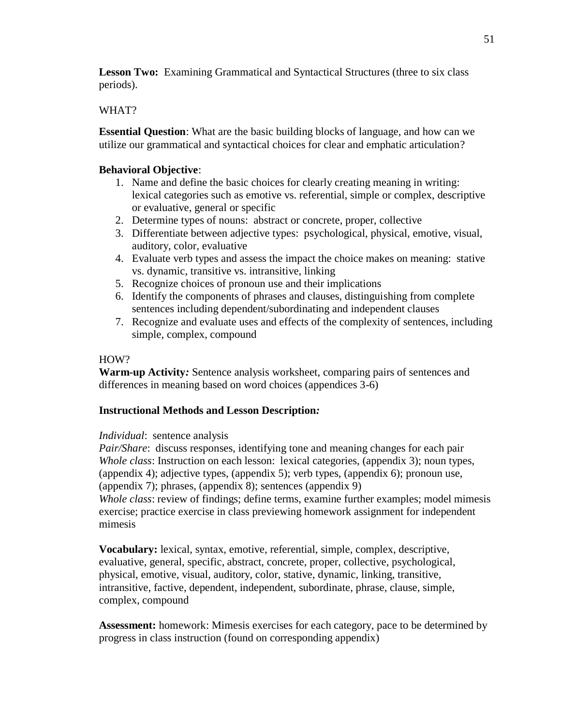**Lesson Two:** Examining Grammatical and Syntactical Structures (three to six class periods).

# WHAT?

**Essential Question**: What are the basic building blocks of language, and how can we utilize our grammatical and syntactical choices for clear and emphatic articulation?

# **Behavioral Objective**:

- 1. Name and define the basic choices for clearly creating meaning in writing: lexical categories such as emotive vs. referential, simple or complex, descriptive or evaluative, general or specific
- 2. Determine types of nouns: abstract or concrete, proper, collective
- 3. Differentiate between adjective types: psychological, physical, emotive, visual, auditory, color, evaluative
- 4. Evaluate verb types and assess the impact the choice makes on meaning: stative vs. dynamic, transitive vs. intransitive, linking
- 5. Recognize choices of pronoun use and their implications
- 6. Identify the components of phrases and clauses, distinguishing from complete sentences including dependent/subordinating and independent clauses
- 7. Recognize and evaluate uses and effects of the complexity of sentences, including simple, complex, compound

# HOW?

**Warm-up Activity***:* Sentence analysis worksheet, comparing pairs of sentences and differences in meaning based on word choices (appendices 3-6)

# **Instructional Methods and Lesson Description***:*

# *Individual*: sentence analysis

*Pair/Share*: discuss responses, identifying tone and meaning changes for each pair *Whole class*: Instruction on each lesson: lexical categories, (appendix 3); noun types, (appendix 4); adjective types, (appendix 5); verb types, (appendix 6); pronoun use, (appendix 7); phrases, (appendix 8); sentences (appendix 9) *Whole class*: review of findings; define terms, examine further examples; model mimesis exercise; practice exercise in class previewing homework assignment for independent mimesis

**Vocabulary:** lexical, syntax, emotive, referential, simple, complex, descriptive, evaluative, general, specific, abstract, concrete, proper, collective, psychological, physical, emotive, visual, auditory, color, stative, dynamic, linking, transitive, intransitive, factive, dependent, independent, subordinate, phrase, clause, simple, complex, compound

**Assessment:** homework: Mimesis exercises for each category, pace to be determined by progress in class instruction (found on corresponding appendix)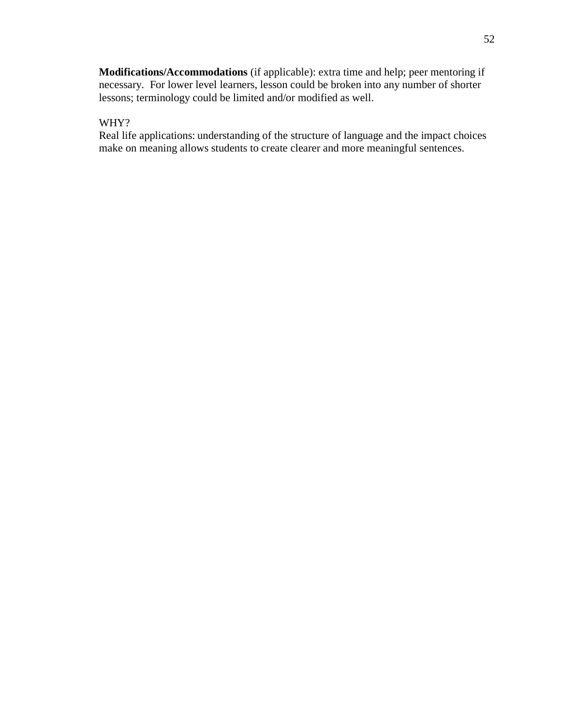**Modifications/Accommodations** (if applicable): extra time and help; peer mentoring if necessary. For lower level learners, lesson could be broken into any number of shorter lessons; terminology could be limited and/or modified as well.

## WHY?

Real life applications: understanding of the structure of language and the impact choices make on meaning allows students to create clearer and more meaningful sentences.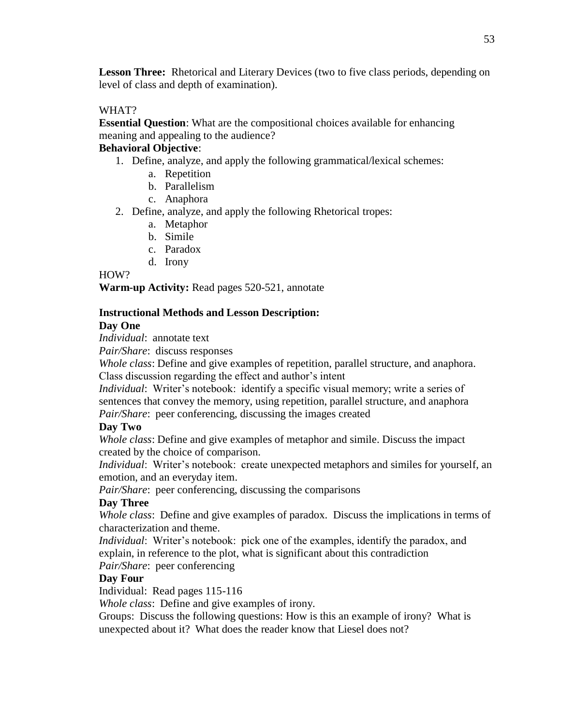**Lesson Three:** Rhetorical and Literary Devices (two to five class periods, depending on level of class and depth of examination).

## WHAT?

**Essential Question**: What are the compositional choices available for enhancing meaning and appealing to the audience?

# **Behavioral Objective**:

- 1. Define, analyze, and apply the following grammatical/lexical schemes:
	- a. Repetition
	- b. Parallelism
	- c. Anaphora
- 2. Define, analyze, and apply the following Rhetorical tropes:
	- a. Metaphor
	- b. Simile
	- c. Paradox
	- d. Irony

#### HOW?

**Warm-up Activity:** Read pages 520-521, annotate

### **Instructional Methods and Lesson Description:**

### **Day One**

*Individual*: annotate text

*Pair/Share*: discuss responses

*Whole class*: Define and give examples of repetition, parallel structure, and anaphora. Class discussion regarding the effect and author's intent

*Individual*: Writer's notebook: identify a specific visual memory; write a series of sentences that convey the memory, using repetition, parallel structure, and anaphora *Pair/Share*: peer conferencing, discussing the images created

### **Day Two**

*Whole class*: Define and give examples of metaphor and simile. Discuss the impact created by the choice of comparison.

*Individual*: Writer's notebook: create unexpected metaphors and similes for yourself, an emotion, and an everyday item.

*Pair/Share*: peer conferencing, discussing the comparisons

### **Day Three**

*Whole class*: Define and give examples of paradox. Discuss the implications in terms of characterization and theme.

*Individual*: Writer's notebook: pick one of the examples, identify the paradox, and explain, in reference to the plot, what is significant about this contradiction *Pair/Share*: peer conferencing

### **Day Four**

Individual: Read pages 115-116

*Whole class*: Define and give examples of irony.

Groups: Discuss the following questions: How is this an example of irony? What is unexpected about it? What does the reader know that Liesel does not?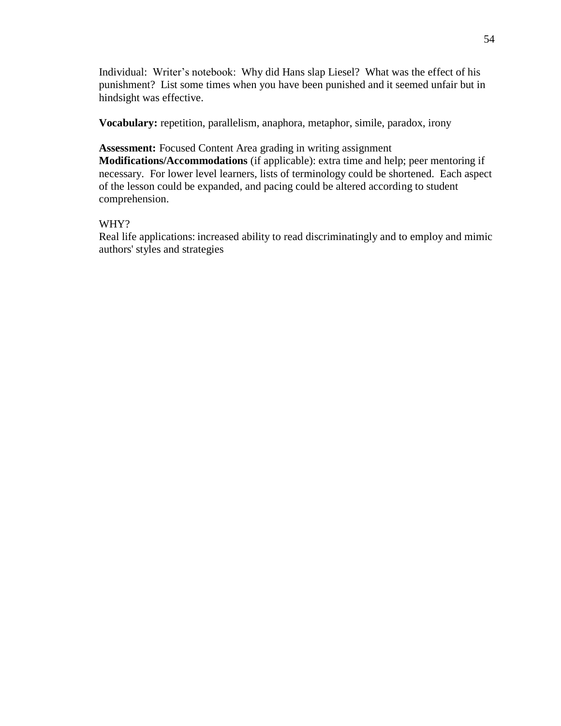Individual: Writer's notebook: Why did Hans slap Liesel? What was the effect of his punishment? List some times when you have been punished and it seemed unfair but in hindsight was effective.

**Vocabulary:** repetition, parallelism, anaphora, metaphor, simile, paradox, irony

**Assessment:** Focused Content Area grading in writing assignment **Modifications/Accommodations** (if applicable): extra time and help; peer mentoring if necessary. For lower level learners, lists of terminology could be shortened. Each aspect of the lesson could be expanded, and pacing could be altered according to student comprehension.

## WHY?

Real life applications: increased ability to read discriminatingly and to employ and mimic authors' styles and strategies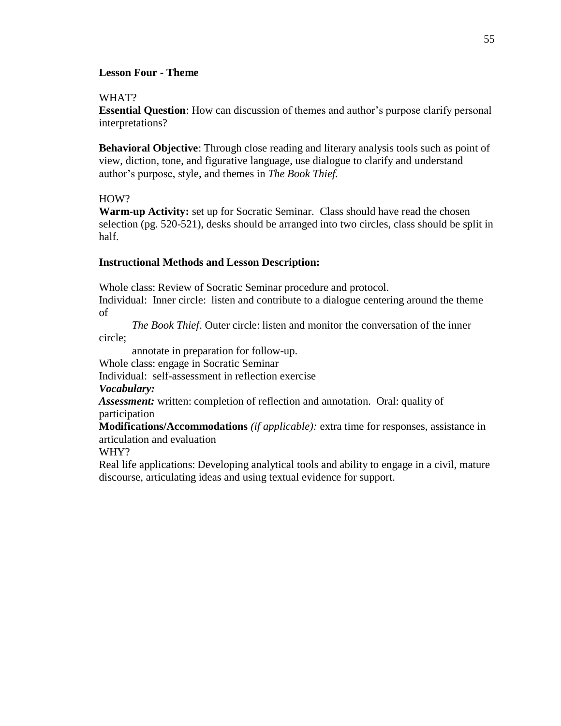### **Lesson Four - Theme**

#### WHAT?

**Essential Question**: How can discussion of themes and author's purpose clarify personal interpretations?

**Behavioral Objective**: Through close reading and literary analysis tools such as point of view, diction, tone, and figurative language, use dialogue to clarify and understand author's purpose, style, and themes in *The Book Thief.*

### HOW?

**Warm-up Activity:** set up for Socratic Seminar. Class should have read the chosen selection (pg. 520-521), desks should be arranged into two circles, class should be split in half.

## **Instructional Methods and Lesson Description:**

Whole class: Review of Socratic Seminar procedure and protocol.

Individual: Inner circle: listen and contribute to a dialogue centering around the theme of

*The Book Thief*. Outer circle: listen and monitor the conversation of the inner

circle;

annotate in preparation for follow-up.

Whole class: engage in Socratic Seminar

Individual: self-assessment in reflection exercise

# *Vocabulary:*

*Assessment:* written: completion of reflection and annotation. Oral: quality of participation

**Modifications/Accommodations** *(if applicable):* extra time for responses, assistance in articulation and evaluation

WHY?

Real life applications: Developing analytical tools and ability to engage in a civil, mature discourse, articulating ideas and using textual evidence for support.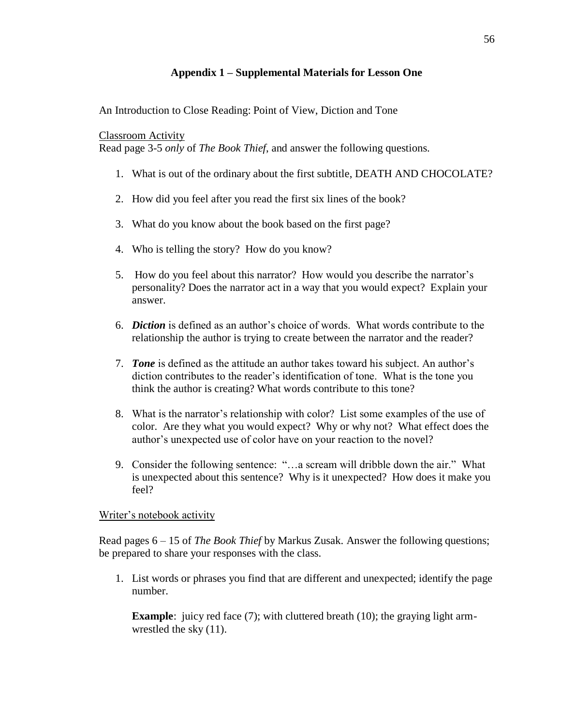# **Appendix 1 – Supplemental Materials for Lesson One**

An Introduction to Close Reading: Point of View, Diction and Tone

### Classroom Activity

Read page 3-5 *only* of *The Book Thief*, and answer the following questions.

- 1. What is out of the ordinary about the first subtitle, DEATH AND CHOCOLATE?
- 2. How did you feel after you read the first six lines of the book?
- 3. What do you know about the book based on the first page?
- 4. Who is telling the story? How do you know?
- 5. How do you feel about this narrator? How would you describe the narrator's personality? Does the narrator act in a way that you would expect? Explain your answer.
- 6. *Diction* is defined as an author's choice of words. What words contribute to the relationship the author is trying to create between the narrator and the reader?
- 7. *Tone* is defined as the attitude an author takes toward his subject. An author's diction contributes to the reader's identification of tone. What is the tone you think the author is creating? What words contribute to this tone?
- 8. What is the narrator's relationship with color? List some examples of the use of color. Are they what you would expect? Why or why not? What effect does the author's unexpected use of color have on your reaction to the novel?
- 9. Consider the following sentence: "…a scream will dribble down the air." What is unexpected about this sentence? Why is it unexpected? How does it make you feel?

# Writer's notebook activity

Read pages 6 – 15 of *The Book Thief* by Markus Zusak. Answer the following questions; be prepared to share your responses with the class.

1. List words or phrases you find that are different and unexpected; identify the page number.

**Example**: juicy red face (7); with cluttered breath (10); the graying light armwrestled the sky (11).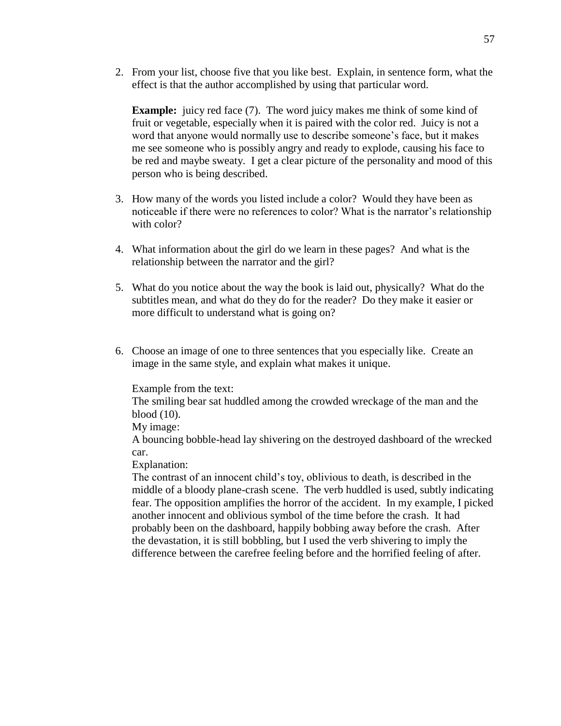2. From your list, choose five that you like best. Explain, in sentence form, what the effect is that the author accomplished by using that particular word.

**Example:** juicy red face (7). The word juicy makes me think of some kind of fruit or vegetable, especially when it is paired with the color red. Juicy is not a word that anyone would normally use to describe someone's face, but it makes me see someone who is possibly angry and ready to explode, causing his face to be red and maybe sweaty. I get a clear picture of the personality and mood of this person who is being described.

- 3. How many of the words you listed include a color? Would they have been as noticeable if there were no references to color? What is the narrator's relationship with color?
- 4. What information about the girl do we learn in these pages? And what is the relationship between the narrator and the girl?
- 5. What do you notice about the way the book is laid out, physically? What do the subtitles mean, and what do they do for the reader? Do they make it easier or more difficult to understand what is going on?
- 6. Choose an image of one to three sentences that you especially like. Create an image in the same style, and explain what makes it unique.

Example from the text:

The smiling bear sat huddled among the crowded wreckage of the man and the blood (10).

My image:

A bouncing bobble-head lay shivering on the destroyed dashboard of the wrecked car.

Explanation:

The contrast of an innocent child's toy, oblivious to death, is described in the middle of a bloody plane-crash scene. The verb huddled is used, subtly indicating fear. The opposition amplifies the horror of the accident. In my example, I picked another innocent and oblivious symbol of the time before the crash. It had probably been on the dashboard, happily bobbing away before the crash. After the devastation, it is still bobbling, but I used the verb shivering to imply the difference between the carefree feeling before and the horrified feeling of after.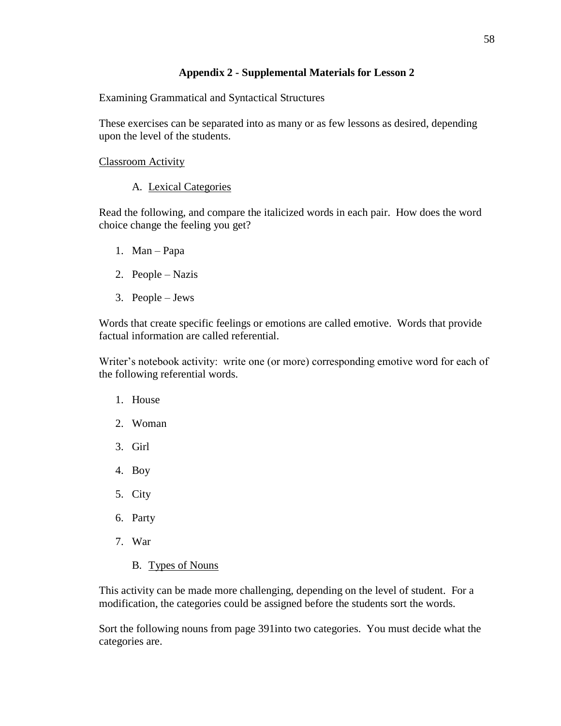## **Appendix 2 - Supplemental Materials for Lesson 2**

Examining Grammatical and Syntactical Structures

These exercises can be separated into as many or as few lessons as desired, depending upon the level of the students.

Classroom Activity

# A. Lexical Categories

Read the following, and compare the italicized words in each pair. How does the word choice change the feeling you get?

- 1. Man Papa
- 2. People Nazis
- 3. People Jews

Words that create specific feelings or emotions are called emotive. Words that provide factual information are called referential.

Writer's notebook activity: write one (or more) corresponding emotive word for each of the following referential words.

- 1. House
- 2. Woman
- 3. Girl
- 4. Boy
- 5. City
- 6. Party
- 7. War
	- B. Types of Nouns

This activity can be made more challenging, depending on the level of student. For a modification, the categories could be assigned before the students sort the words.

Sort the following nouns from page 391into two categories. You must decide what the categories are.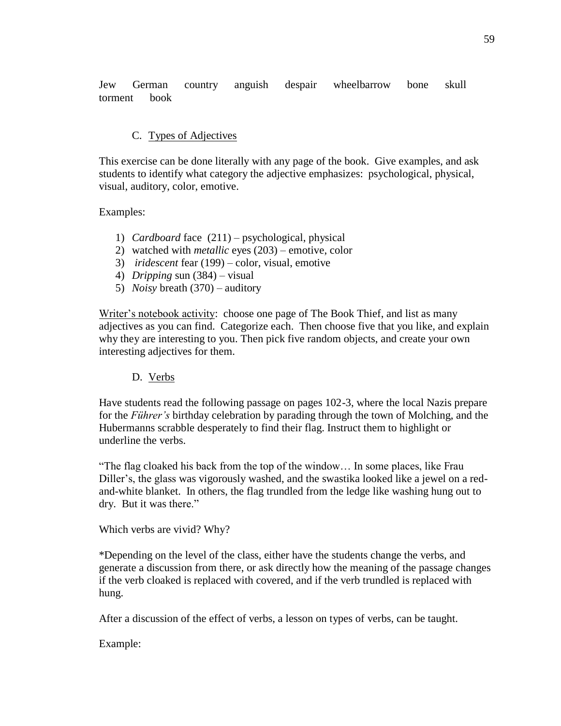Jew German country anguish despair wheelbarrow bone skull torment book

## C. Types of Adjectives

This exercise can be done literally with any page of the book. Give examples, and ask students to identify what category the adjective emphasizes: psychological, physical, visual, auditory, color, emotive.

Examples:

- 1) *Cardboard* face (211) psychological, physical
- 2) watched with *metallic* eyes (203) emotive, color
- 3) *iridescent* fear (199) color, visual, emotive
- 4) *Dripping* sun (384) visual
- 5) *Noisy* breath (370) auditory

Writer's notebook activity: choose one page of The Book Thief, and list as many adjectives as you can find. Categorize each. Then choose five that you like, and explain why they are interesting to you. Then pick five random objects, and create your own interesting adjectives for them.

### D. Verbs

Have students read the following passage on pages 102-3, where the local Nazis prepare for the *Führer's* birthday celebration by parading through the town of Molching, and the Hubermanns scrabble desperately to find their flag. Instruct them to highlight or underline the verbs.

"The flag cloaked his back from the top of the window… In some places, like Frau Diller's, the glass was vigorously washed, and the swastika looked like a jewel on a redand-white blanket. In others, the flag trundled from the ledge like washing hung out to dry. But it was there."

Which verbs are vivid? Why?

\*Depending on the level of the class, either have the students change the verbs, and generate a discussion from there, or ask directly how the meaning of the passage changes if the verb cloaked is replaced with covered, and if the verb trundled is replaced with hung.

After a discussion of the effect of verbs, a lesson on types of verbs, can be taught.

Example: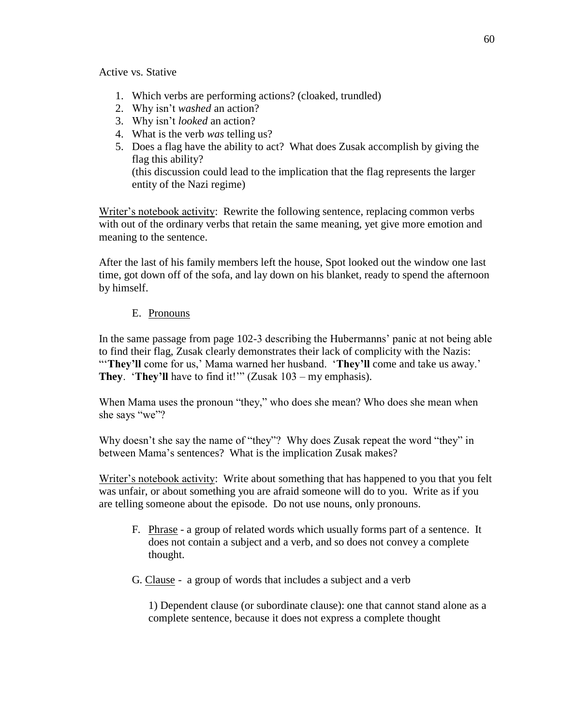Active vs. Stative

- 1. Which verbs are performing actions? (cloaked, trundled)
- 2. Why isn't *washed* an action?
- 3. Why isn't *looked* an action?
- 4. What is the verb *was* telling us?
- 5. Does a flag have the ability to act? What does Zusak accomplish by giving the flag this ability? (this discussion could lead to the implication that the flag represents the larger

entity of the Nazi regime)

Writer's notebook activity: Rewrite the following sentence, replacing common verbs with out of the ordinary verbs that retain the same meaning, yet give more emotion and meaning to the sentence.

After the last of his family members left the house, Spot looked out the window one last time, got down off of the sofa, and lay down on his blanket, ready to spend the afternoon by himself.

# E. Pronouns

In the same passage from page 102-3 describing the Hubermanns' panic at not being able to find their flag, Zusak clearly demonstrates their lack of complicity with the Nazis: "They'll come for us,' Mama warned her husband. 'They'll come and take us away.' **They**. '**They'll** have to find it!'" (Zusak 103 – my emphasis).

When Mama uses the pronoun "they," who does she mean? Who does she mean when she says "we"?

Why doesn't she say the name of "they"? Why does Zusak repeat the word "they" in between Mama's sentences? What is the implication Zusak makes?

Writer's notebook activity: Write about something that has happened to you that you felt was unfair, or about something you are afraid someone will do to you. Write as if you are telling someone about the episode. Do not use nouns, only pronouns.

- F. Phrase a group of related words which usually forms part of a sentence. It does not contain a subject and a verb, and so does not convey a complete thought.
- G. Clause a group of words that includes a subject and a verb

1) Dependent clause (or subordinate clause): one that cannot stand alone as a complete sentence, because it does not express a complete thought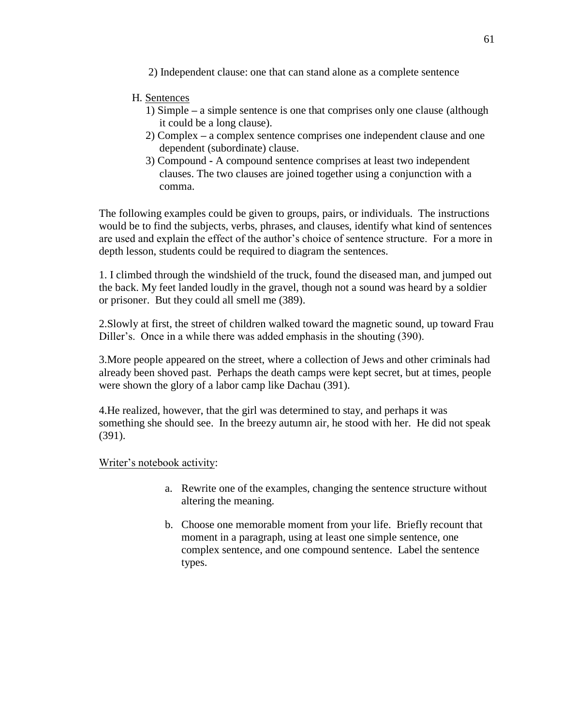2) Independent clause: one that can stand alone as a complete sentence

## H. Sentences

- 1) Simple **–** a simple sentence is one that comprises only one clause (although it could be a long clause).
- 2) Complex **–** a complex sentence comprises one independent clause and one dependent (subordinate) clause.
- 3) Compound **-** A compound sentence comprises at least two independent clauses. The two clauses are joined together using a conjunction with a comma.

The following examples could be given to groups, pairs, or individuals. The instructions would be to find the subjects, verbs, phrases, and clauses, identify what kind of sentences are used and explain the effect of the author's choice of sentence structure. For a more in depth lesson, students could be required to diagram the sentences.

1. I climbed through the windshield of the truck, found the diseased man, and jumped out the back. My feet landed loudly in the gravel, though not a sound was heard by a soldier or prisoner. But they could all smell me (389).

2.Slowly at first, the street of children walked toward the magnetic sound, up toward Frau Diller's. Once in a while there was added emphasis in the shouting (390).

3.More people appeared on the street, where a collection of Jews and other criminals had already been shoved past. Perhaps the death camps were kept secret, but at times, people were shown the glory of a labor camp like Dachau (391).

4.He realized, however, that the girl was determined to stay, and perhaps it was something she should see. In the breezy autumn air, he stood with her. He did not speak (391).

### Writer's notebook activity:

- a. Rewrite one of the examples, changing the sentence structure without altering the meaning.
- b. Choose one memorable moment from your life. Briefly recount that moment in a paragraph, using at least one simple sentence, one complex sentence, and one compound sentence. Label the sentence types.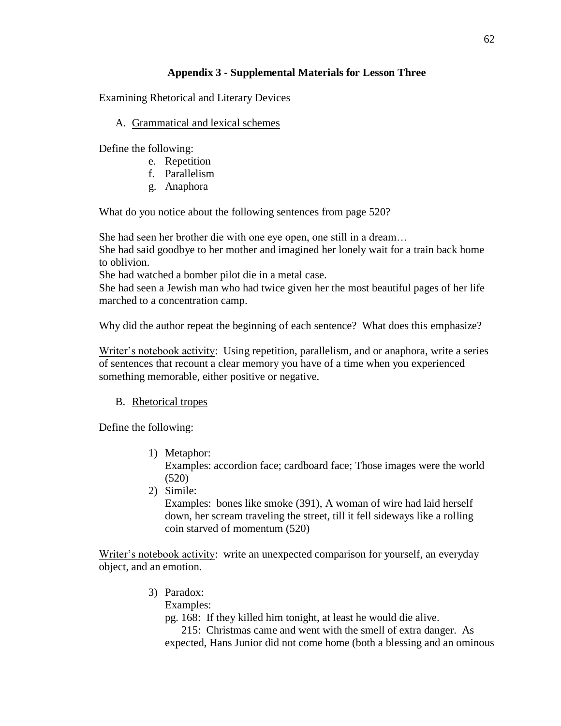# **Appendix 3 - Supplemental Materials for Lesson Three**

Examining Rhetorical and Literary Devices

## A. Grammatical and lexical schemes

Define the following:

- e. Repetition
- f. Parallelism
- g. Anaphora

What do you notice about the following sentences from page 520?

She had seen her brother die with one eye open, one still in a dream…

She had said goodbye to her mother and imagined her lonely wait for a train back home to oblivion.

She had watched a bomber pilot die in a metal case.

She had seen a Jewish man who had twice given her the most beautiful pages of her life marched to a concentration camp.

Why did the author repeat the beginning of each sentence? What does this emphasize?

Writer's notebook activity: Using repetition, parallelism, and or anaphora, write a series of sentences that recount a clear memory you have of a time when you experienced something memorable, either positive or negative.

# B. Rhetorical tropes

Define the following:

- 1) Metaphor: Examples: accordion face; cardboard face; Those images were the world (520)
- 2) Simile:

Examples: bones like smoke (391), A woman of wire had laid herself down, her scream traveling the street, till it fell sideways like a rolling coin starved of momentum (520)

Writer's notebook activity: write an unexpected comparison for yourself, an everyday object, and an emotion.

3) Paradox:

Examples:

pg. 168: If they killed him tonight, at least he would die alive.

 215: Christmas came and went with the smell of extra danger. As expected, Hans Junior did not come home (both a blessing and an ominous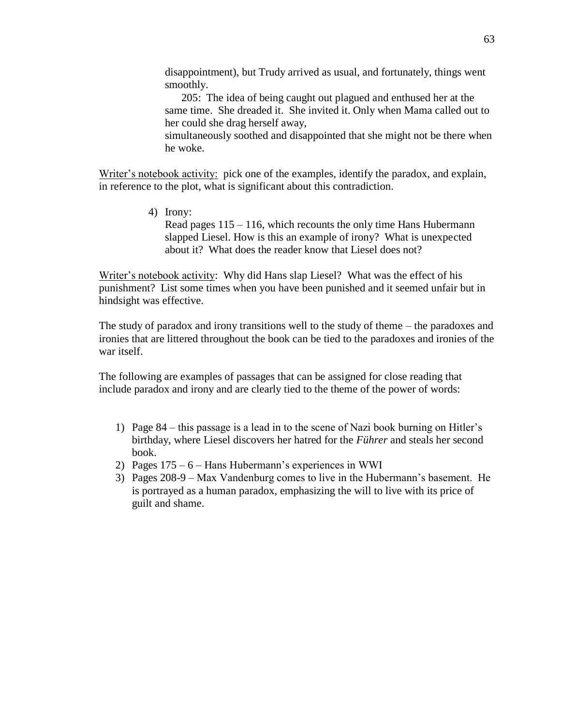disappointment), but Trudy arrived as usual, and fortunately, things went smoothly.

 205: The idea of being caught out plagued and enthused her at the same time. She dreaded it. She invited it. Only when Mama called out to her could she drag herself away,

simultaneously soothed and disappointed that she might not be there when he woke.

Writer's notebook activity: pick one of the examples, identify the paradox, and explain, in reference to the plot, what is significant about this contradiction.

> 4) Irony: Read pages 115 – 116, which recounts the only time Hans Hubermann slapped Liesel. How is this an example of irony? What is unexpected about it? What does the reader know that Liesel does not?

Writer's notebook activity: Why did Hans slap Liesel? What was the effect of his punishment? List some times when you have been punished and it seemed unfair but in hindsight was effective.

The study of paradox and irony transitions well to the study of theme – the paradoxes and ironies that are littered throughout the book can be tied to the paradoxes and ironies of the war itself.

The following are examples of passages that can be assigned for close reading that include paradox and irony and are clearly tied to the theme of the power of words:

- 1) Page 84 this passage is a lead in to the scene of Nazi book burning on Hitler's birthday, where Liesel discovers her hatred for the *Führer* and steals her second book.
- 2) Pages 175 6 Hans Hubermann's experiences in WWI
- 3) Pages 208-9 Max Vandenburg comes to live in the Hubermann's basement. He is portrayed as a human paradox, emphasizing the will to live with its price of guilt and shame.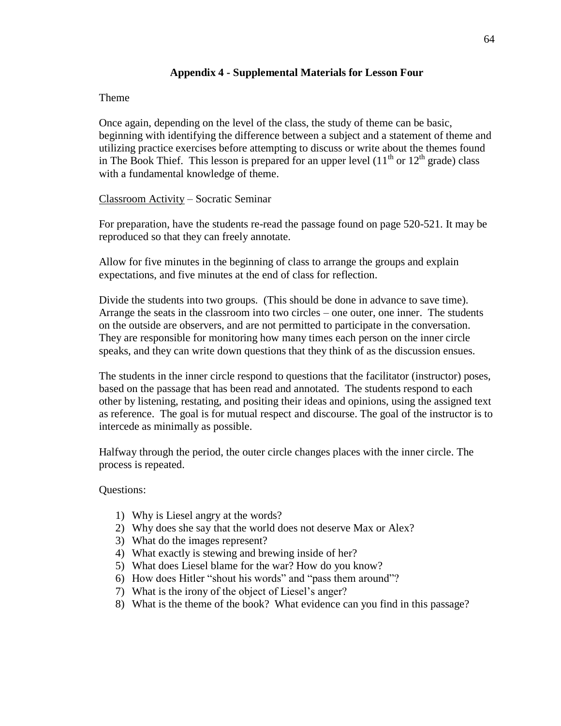### **Appendix 4 - Supplemental Materials for Lesson Four**

#### Theme

Once again, depending on the level of the class, the study of theme can be basic, beginning with identifying the difference between a subject and a statement of theme and utilizing practice exercises before attempting to discuss or write about the themes found in The Book Thief. This lesson is prepared for an upper level  $(11<sup>th</sup>$  or  $12<sup>th</sup>$  grade) class with a fundamental knowledge of theme.

### Classroom Activity – Socratic Seminar

For preparation, have the students re-read the passage found on page 520-521. It may be reproduced so that they can freely annotate.

Allow for five minutes in the beginning of class to arrange the groups and explain expectations, and five minutes at the end of class for reflection.

Divide the students into two groups. (This should be done in advance to save time). Arrange the seats in the classroom into two circles – one outer, one inner. The students on the outside are observers, and are not permitted to participate in the conversation. They are responsible for monitoring how many times each person on the inner circle speaks, and they can write down questions that they think of as the discussion ensues.

The students in the inner circle respond to questions that the facilitator (instructor) poses, based on the passage that has been read and annotated. The students respond to each other by listening, restating, and positing their ideas and opinions, using the assigned text as reference. The goal is for mutual respect and discourse. The goal of the instructor is to intercede as minimally as possible.

Halfway through the period, the outer circle changes places with the inner circle. The process is repeated.

Questions:

- 1) Why is Liesel angry at the words?
- 2) Why does she say that the world does not deserve Max or Alex?
- 3) What do the images represent?
- 4) What exactly is stewing and brewing inside of her?
- 5) What does Liesel blame for the war? How do you know?
- 6) How does Hitler "shout his words" and "pass them around"?
- 7) What is the irony of the object of Liesel's anger?
- 8) What is the theme of the book? What evidence can you find in this passage?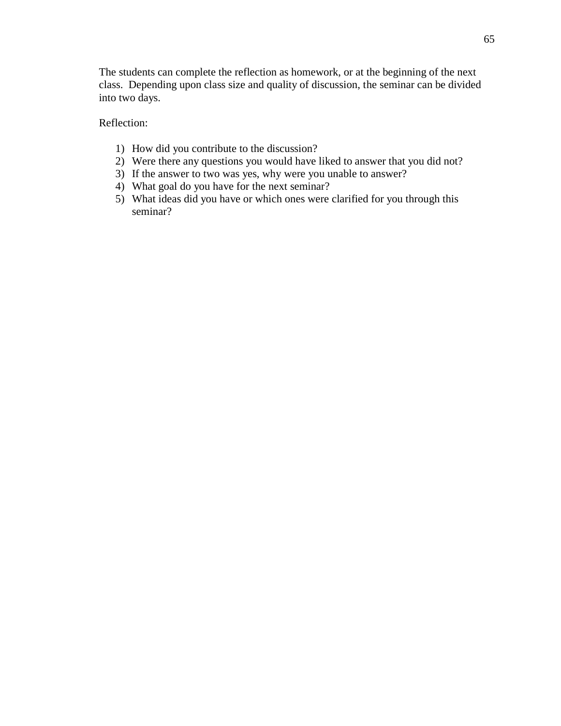The students can complete the reflection as homework, or at the beginning of the next class. Depending upon class size and quality of discussion, the seminar can be divided into two days.

Reflection:

- 1) How did you contribute to the discussion?
- 2) Were there any questions you would have liked to answer that you did not?
- 3) If the answer to two was yes, why were you unable to answer?
- 4) What goal do you have for the next seminar?
- 5) What ideas did you have or which ones were clarified for you through this seminar?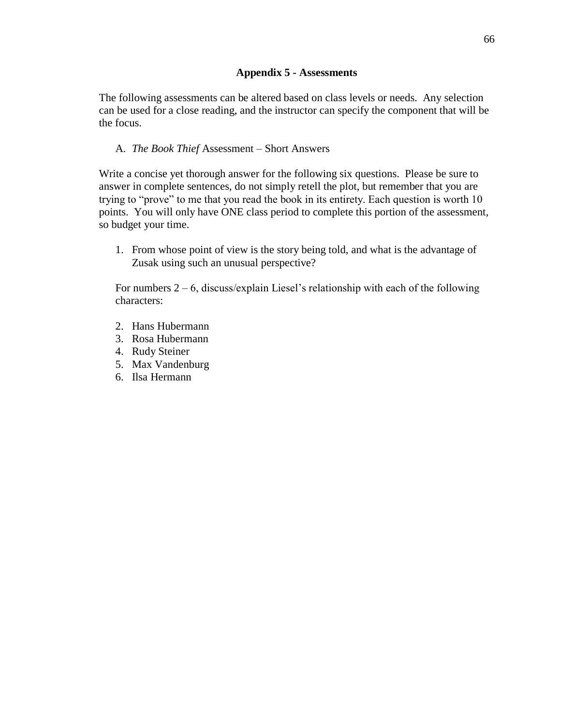## **Appendix 5 - Assessments**

The following assessments can be altered based on class levels or needs. Any selection can be used for a close reading, and the instructor can specify the component that will be the focus.

# A. *The Book Thief* Assessment – Short Answers

Write a concise yet thorough answer for the following six questions. Please be sure to answer in complete sentences, do not simply retell the plot, but remember that you are trying to "prove" to me that you read the book in its entirety. Each question is worth 10 points. You will only have ONE class period to complete this portion of the assessment, so budget your time.

1. From whose point of view is the story being told, and what is the advantage of Zusak using such an unusual perspective?

For numbers  $2 - 6$ , discuss/explain Liesel's relationship with each of the following characters:

- 2. Hans Hubermann
- 3. Rosa Hubermann
- 4. Rudy Steiner
- 5. Max Vandenburg
- 6. Ilsa Hermann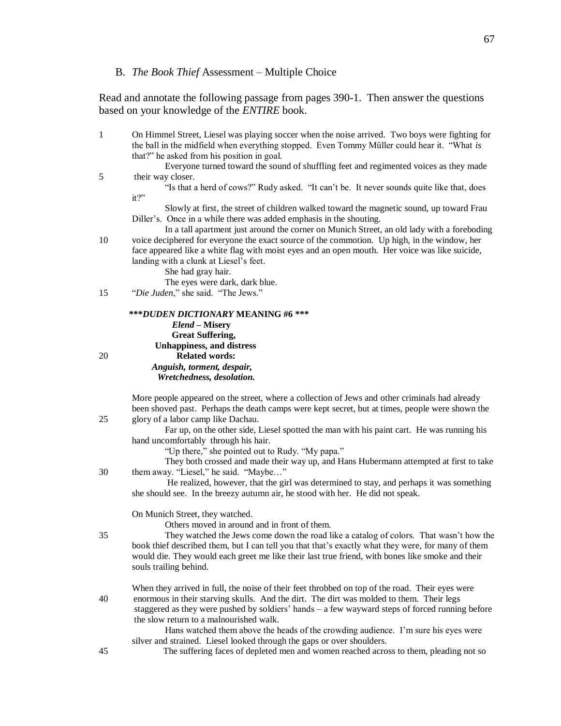# B. *The Book Thief* Assessment – Multiple Choice

Read and annotate the following passage from pages 390-1. Then answer the questions based on your knowledge of the *ENTIRE* book.

| $\mathbf{1}$ | On Himmel Street, Liesel was playing soccer when the noise arrived. Two boys were fighting for<br>the ball in the midfield when everything stopped. Even Tommy Müller could hear it. "What is<br>that?" he asked from his position in goal.<br>Everyone turned toward the sound of shuffling feet and regimented voices as they made |
|--------------|--------------------------------------------------------------------------------------------------------------------------------------------------------------------------------------------------------------------------------------------------------------------------------------------------------------------------------------|
| 5            | their way closer.                                                                                                                                                                                                                                                                                                                    |
|              | "Is that a herd of cows?" Rudy asked. "It can't be. It never sounds quite like that, does<br>it?"                                                                                                                                                                                                                                    |
|              | Slowly at first, the street of children walked toward the magnetic sound, up toward Frau<br>Diller's. Once in a while there was added emphasis in the shouting.                                                                                                                                                                      |
|              | In a tall apartment just around the corner on Munich Street, an old lady with a foreboding                                                                                                                                                                                                                                           |
| 10           | voice deciphered for everyone the exact source of the commotion. Up high, in the window, her<br>face appeared like a white flag with moist eyes and an open mouth. Her voice was like suicide,                                                                                                                                       |
|              | landing with a clunk at Liesel's feet.<br>She had gray hair.                                                                                                                                                                                                                                                                         |
|              | The eyes were dark, dark blue.                                                                                                                                                                                                                                                                                                       |
| 15           | "Die Juden," she said. "The Jews."                                                                                                                                                                                                                                                                                                   |
|              | ***DUDEN DICTIONARY MEANING #6 ***                                                                                                                                                                                                                                                                                                   |
|              | Elend - Misery<br><b>Great Suffering,</b>                                                                                                                                                                                                                                                                                            |
| 20           | <b>Unhappiness, and distress</b><br><b>Related words:</b>                                                                                                                                                                                                                                                                            |
|              | Anguish, torment, despair,                                                                                                                                                                                                                                                                                                           |
|              | Wretchedness, desolation.                                                                                                                                                                                                                                                                                                            |
|              | More people appeared on the street, where a collection of Jews and other criminals had already                                                                                                                                                                                                                                       |
| 25           | been shoved past. Perhaps the death camps were kept secret, but at times, people were shown the<br>glory of a labor camp like Dachau.                                                                                                                                                                                                |
|              | Far up, on the other side, Liesel spotted the man with his paint cart. He was running his<br>hand uncomfortably through his hair.                                                                                                                                                                                                    |
|              | "Up there," she pointed out to Rudy. "My papa."                                                                                                                                                                                                                                                                                      |
| 30           | They both crossed and made their way up, and Hans Hubermann attempted at first to take<br>them away. "Liesel," he said. "Maybe"                                                                                                                                                                                                      |
|              | He realized, however, that the girl was determined to stay, and perhaps it was something                                                                                                                                                                                                                                             |
|              | she should see. In the breezy autumn air, he stood with her. He did not speak.                                                                                                                                                                                                                                                       |
|              | On Munich Street, they watched.<br>Others moved in around and in front of them.                                                                                                                                                                                                                                                      |
| 35           | They watched the Jews come down the road like a catalog of colors. That wasn't how the                                                                                                                                                                                                                                               |
|              | book thief described them, but I can tell you that that's exactly what they were, for many of them<br>would die. They would each greet me like their last true friend, with bones like smoke and their                                                                                                                               |
|              | souls trailing behind.                                                                                                                                                                                                                                                                                                               |
|              | When they arrived in full, the noise of their feet throbbed on top of the road. Their eyes were                                                                                                                                                                                                                                      |
| 40           | enormous in their starving skulls. And the dirt. The dirt was molded to them. Their legs<br>staggered as they were pushed by soldiers' hands - a few wayward steps of forced running before                                                                                                                                          |
|              | the slow return to a malnourished walk.                                                                                                                                                                                                                                                                                              |
|              | Hans watched them above the heads of the crowding audience. I'm sure his eyes were<br>silver and strained. Liesel looked through the gaps or over shoulders.                                                                                                                                                                         |
| 45           | The suffering faces of depleted men and women reached across to them, pleading not so                                                                                                                                                                                                                                                |
|              |                                                                                                                                                                                                                                                                                                                                      |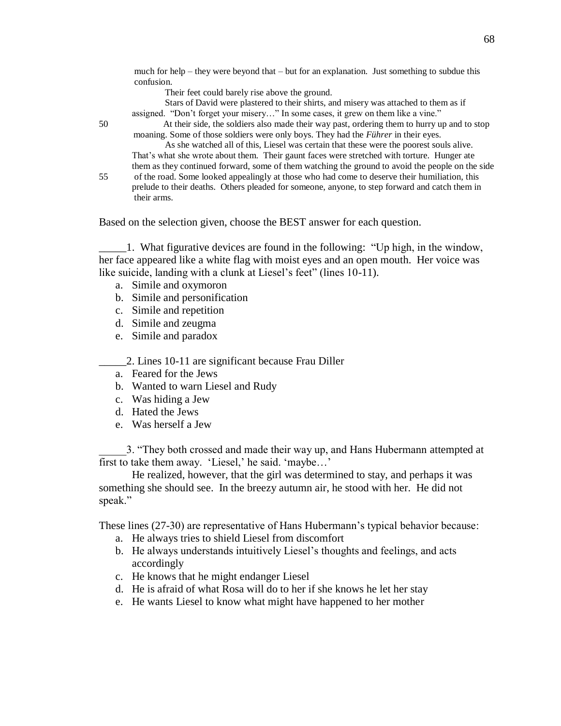much for help – they were beyond that – but for an explanation. Just something to subdue this confusion.

Their feet could barely rise above the ground.

Stars of David were plastered to their shirts, and misery was attached to them as if assigned. "Don't forget your misery…" In some cases, it grew on them like a vine."

50 At their side, the soldiers also made their way past, ordering them to hurry up and to stop moaning. Some of those soldiers were only boys. They had the *Führer* in their eyes.

As she watched all of this, Liesel was certain that these were the poorest souls alive. That's what she wrote about them. Their gaunt faces were stretched with torture. Hunger ate them as they continued forward, some of them watching the ground to avoid the people on the side

55 of the road. Some looked appealingly at those who had come to deserve their humiliation, this prelude to their deaths. Others pleaded for someone, anyone, to step forward and catch them in their arms.

Based on the selection given, choose the BEST answer for each question.

\_\_\_\_\_1. What figurative devices are found in the following: "Up high, in the window, her face appeared like a white flag with moist eyes and an open mouth. Her voice was like suicide, landing with a clunk at Liesel's feet" (lines 10-11).

- a. Simile and oxymoron
- b. Simile and personification
- c. Simile and repetition
- d. Simile and zeugma
- e. Simile and paradox
- \_\_\_\_\_2. Lines 10-11 are significant because Frau Diller
- a. Feared for the Jews
- b. Wanted to warn Liesel and Rudy
- c. Was hiding a Jew
- d. Hated the Jews
- e. Was herself a Jew

\_\_\_\_\_3. "They both crossed and made their way up, and Hans Hubermann attempted at first to take them away. 'Liesel,' he said. 'maybe…'

He realized, however, that the girl was determined to stay, and perhaps it was something she should see. In the breezy autumn air, he stood with her. He did not speak."

These lines (27-30) are representative of Hans Hubermann's typical behavior because:

- a. He always tries to shield Liesel from discomfort
- b. He always understands intuitively Liesel's thoughts and feelings, and acts accordingly
- c. He knows that he might endanger Liesel
- d. He is afraid of what Rosa will do to her if she knows he let her stay
- e. He wants Liesel to know what might have happened to her mother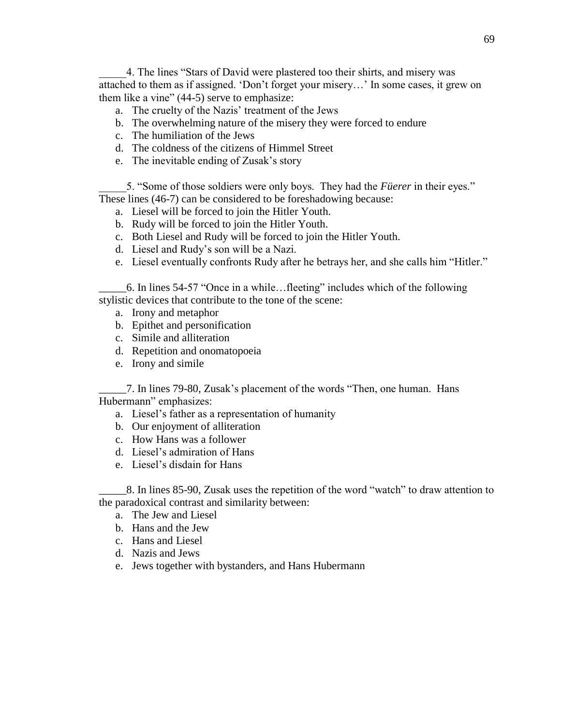\_\_\_\_\_4. The lines "Stars of David were plastered too their shirts, and misery was attached to them as if assigned. 'Don't forget your misery…' In some cases, it grew on them like a vine" (44-5) serve to emphasize:

- a. The cruelty of the Nazis' treatment of the Jews
- b. The overwhelming nature of the misery they were forced to endure
- c. The humiliation of the Jews
- d. The coldness of the citizens of Himmel Street
- e. The inevitable ending of Zusak's story

\_\_\_\_\_5. "Some of those soldiers were only boys. They had the *Füerer* in their eyes." These lines (46-7) can be considered to be foreshadowing because:

- a. Liesel will be forced to join the Hitler Youth.
- b. Rudy will be forced to join the Hitler Youth.
- c. Both Liesel and Rudy will be forced to join the Hitler Youth.
- d. Liesel and Rudy's son will be a Nazi.
- e. Liesel eventually confronts Rudy after he betrays her, and she calls him "Hitler."

\_\_\_\_\_6. In lines 54-57 "Once in a while…fleeting" includes which of the following stylistic devices that contribute to the tone of the scene:

- a. Irony and metaphor
- b. Epithet and personification
- c. Simile and alliteration
- d. Repetition and onomatopoeia
- e. Irony and simile

\_\_\_\_\_7. In lines 79-80, Zusak's placement of the words "Then, one human. Hans Hubermann" emphasizes:

- a. Liesel's father as a representation of humanity
- b. Our enjoyment of alliteration
- c. How Hans was a follower
- d. Liesel's admiration of Hans
- e. Liesel's disdain for Hans

\_\_\_\_\_8. In lines 85-90, Zusak uses the repetition of the word "watch" to draw attention to the paradoxical contrast and similarity between:

- a. The Jew and Liesel
- b. Hans and the Jew
- c. Hans and Liesel
- d. Nazis and Jews
- e. Jews together with bystanders, and Hans Hubermann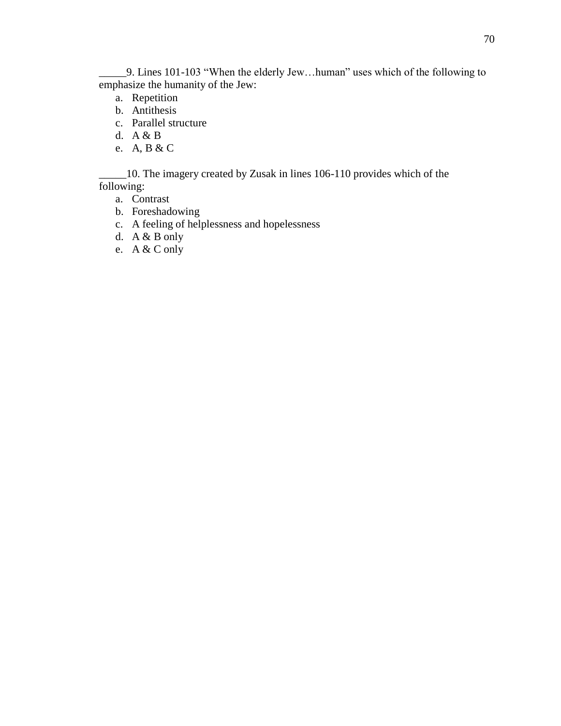\_\_\_\_\_9. Lines 101-103 "When the elderly Jew…human" uses which of the following to emphasize the humanity of the Jew:

- a. Repetition
- b. Antithesis
- c. Parallel structure
- d. A & B
- e. A, B & C

\_\_\_\_\_10. The imagery created by Zusak in lines 106-110 provides which of the following:

- a. Contrast
- b. Foreshadowing
- c. A feeling of helplessness and hopelessness
- d. A & B only
- e. A & C only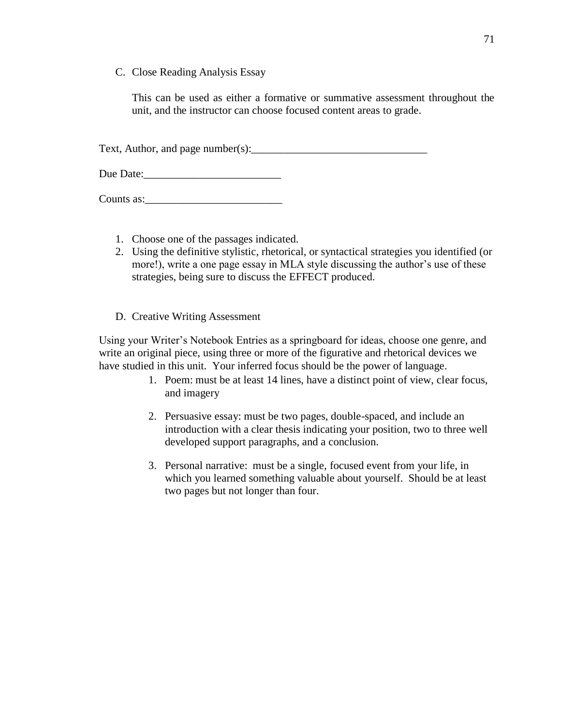C. Close Reading Analysis Essay

This can be used as either a formative or summative assessment throughout the unit, and the instructor can choose focused content areas to grade.

Text, Author, and page number(s):  $\frac{1}{2}$  and  $\frac{1}{2}$  and  $\frac{1}{2}$  and  $\frac{1}{2}$  and  $\frac{1}{2}$  and  $\frac{1}{2}$  and  $\frac{1}{2}$  and  $\frac{1}{2}$  and  $\frac{1}{2}$  and  $\frac{1}{2}$  and  $\frac{1}{2}$  and  $\frac{1}{2}$  and  $\frac{1}{2}$  and  $\frac{1$ 

Due Date:\_\_\_\_\_\_\_\_\_\_\_\_\_\_\_\_\_\_\_\_\_\_\_\_\_

Counts as:\_\_\_\_\_\_\_\_\_\_\_\_\_\_\_\_\_\_\_\_\_\_\_\_\_

- 1. Choose one of the passages indicated.
- 2. Using the definitive stylistic, rhetorical, or syntactical strategies you identified (or more!), write a one page essay in MLA style discussing the author's use of these strategies, being sure to discuss the EFFECT produced.
- D. Creative Writing Assessment

Using your Writer's Notebook Entries as a springboard for ideas, choose one genre, and write an original piece, using three or more of the figurative and rhetorical devices we have studied in this unit. Your inferred focus should be the power of language.

- 1. Poem: must be at least 14 lines, have a distinct point of view, clear focus, and imagery
- 2. Persuasive essay: must be two pages, double-spaced, and include an introduction with a clear thesis indicating your position, two to three well developed support paragraphs, and a conclusion.
- 3. Personal narrative: must be a single, focused event from your life, in which you learned something valuable about yourself. Should be at least two pages but not longer than four.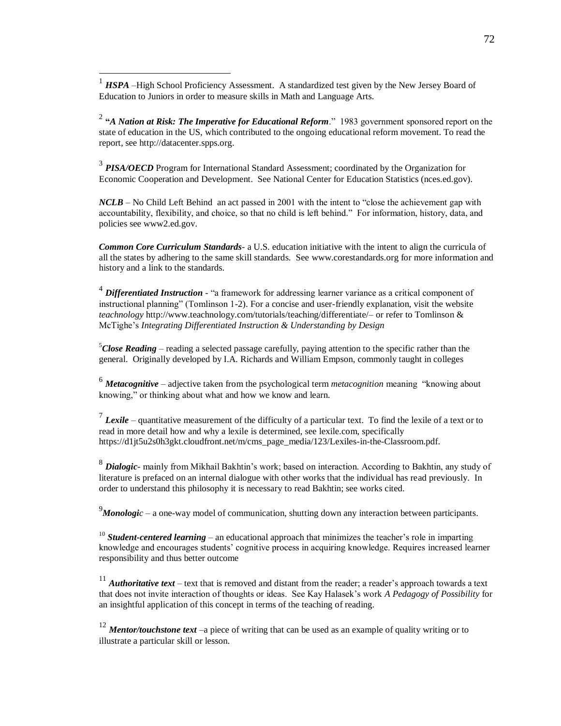<sup>1</sup> *HSPA* –High School Proficiency Assessment. A standardized test given by the New Jersey Board of Education to Juniors in order to measure skills in Math and Language Arts.

 $\overline{a}$ 

2 **"***A Nation at Risk: The Imperative for Educational Reform*." 1983 government sponsored report on the state of education in the US, which contributed to the ongoing educational reform movement. To read the report, see http://datacenter.spps.org.

<sup>3</sup> PISA/OECD Program for International Standard Assessment; coordinated by the Organization for Economic Cooperation and Development. See National Center for Education Statistics (nces.ed.gov).

*NCLB* – No Child Left Behind an act passed in 2001 with the intent to "close the achievement gap with accountability, flexibility, and choice, so that no child is left behind." For information, history, data, and policies see www2.ed.gov.

*Common Core Curriculum Standards-* a U.S. education initiative with the intent to align the curricula of all the states by adhering to the same skill standards. See www.corestandards.org for more information and history and a link to the standards.

<sup>4</sup> Differentiated Instruction - "a framework for addressing learner variance as a critical component of instructional planning" (Tomlinson 1-2). For a concise and user-friendly explanation, visit the website *teachnology* http://www.teachnology.com/tutorials/teaching/differentiate/– or refer to Tomlinson & McTighe's *Integrating Differentiated Instruction & Understanding by Design*

<sup>5</sup>*Close Reading* – reading a selected passage carefully, paying attention to the specific rather than the general. Originally developed by I.A. Richards and William Empson, commonly taught in colleges

<sup>6</sup> *Metacognitive* – adjective taken from the psychological term *metacognition* meaning "knowing about knowing," or thinking about what and how we know and learn.

<sup>7</sup> Lexile – quantitative measurement of the difficulty of a particular text. To find the lexile of a text or to read in more detail how and why a lexile is determined, see lexile.com, specifically https://d1jt5u2s0h3gkt.cloudfront.net/m/cms\_page\_media/123/Lexiles-in-the-Classroom.pdf.

8 *Dialogic*- mainly from Mikhail Bakhtin's work; based on interaction. According to Bakhtin, any study of literature is prefaced on an internal dialogue with other works that the individual has read previously. In order to understand this philosophy it is necessary to read Bakhtin; see works cited.

<sup>9</sup>*Monologic* – a one-way model of communication, shutting down any interaction between participants.

<sup>10</sup> **Student-centered learning** – an educational approach that minimizes the teacher's role in imparting knowledge and encourages students' cognitive process in acquiring knowledge. Requires increased learner responsibility and thus better outcome

<sup>11</sup> *Authoritative text* – text that is removed and distant from the reader; a reader's approach towards a text that does not invite interaction of thoughts or ideas. See Kay Halasek's work *A Pedagogy of Possibility* for an insightful application of this concept in terms of the teaching of reading.

<sup>12</sup> *Mentor/touchstone text –*a piece of writing that can be used as an example of quality writing or to illustrate a particular skill or lesson.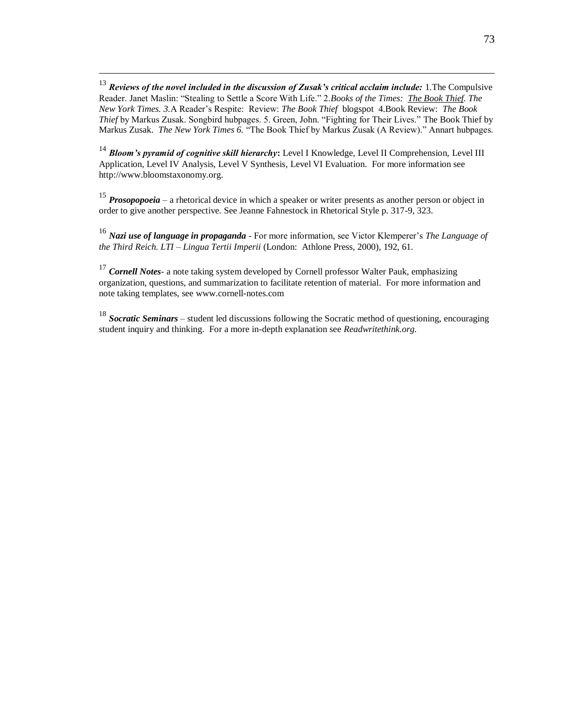<sup>13</sup> *Reviews of the novel included in the discussion of Zusak's critical acclaim include:* 1.The Compulsive Reader. Janet Maslin: "Stealing to Settle a Score With Life." 2.*Books of the Times: The Book Thief. The New York Times. 3.*A Reader's Respite: Review: *The Book Thief* blogspot 4.Book Review: *The Book Thief* by Markus Zusak. Songbird hubpages. 5. Green, John. "Fighting for Their Lives." The Book Thief by Markus Zusak. *The New York Times 6.* "The Book Thief by Markus Zusak (A Review)." Annart hubpages.

 $\overline{a}$ 

<sup>14</sup> *Bloom's pyramid of cognitive skill hierarchy***:** Level I Knowledge, Level II Comprehension, Level III Application, Level IV Analysis, Level V Synthesis, Level VI Evaluation. For more information see http://www.bloomstaxonomy.org.

<sup>15</sup> *Prosopopoeia* – a rhetorical device in which a speaker or writer presents as another person or object in order to give another perspective. See Jeanne Fahnestock in Rhetorical Style p. 317-9, 323.

<sup>16</sup> *Nazi use of language in propaganda* - For more information, see Victor Klemperer's *The Language of the Third Reich. LTI – Lingua Tertii Imperii* (London: Athlone Press, 2000), 192, 61.

<sup>17</sup> *Cornell Notes*- a note taking system developed by Cornell professor Walter Pauk, emphasizing organization, questions, and summarization to facilitate retention of material. For more information and note taking templates, see www.cornell-notes.com

<sup>18</sup> *Socratic Seminars* – student led discussions following the Socratic method of questioning, encouraging student inquiry and thinking. For a more in-depth explanation see *Readwritethink.org.*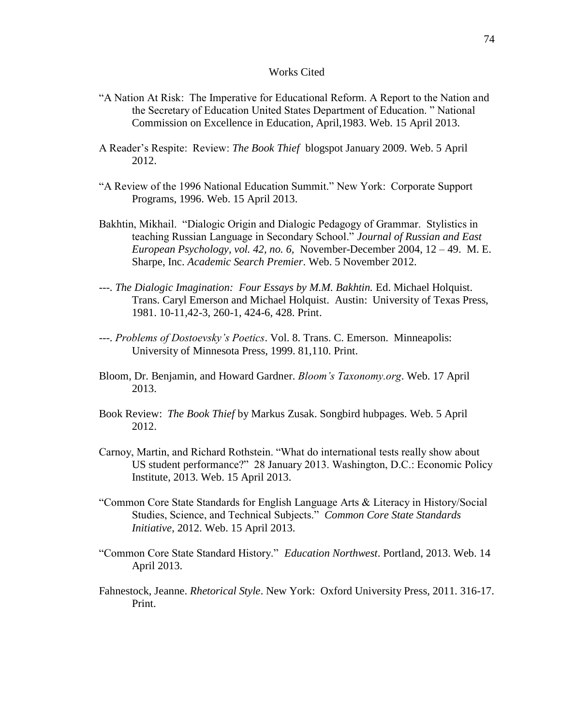## Works Cited

- "A Nation At Risk: The Imperative for Educational Reform. A Report to the Nation and the Secretary of Education United States Department of Education. " National Commission on Excellence in Education, April,1983. Web. 15 April 2013.
- A Reader's Respite: Review: *The Book Thief* blogspot January 2009. Web. 5 April 2012.
- "A Review of the 1996 National Education Summit." New York: Corporate Support Programs, 1996. Web. 15 April 2013.
- Bakhtin, Mikhail. "Dialogic Origin and Dialogic Pedagogy of Grammar. Stylistics in teaching Russian Language in Secondary School." *Journal of Russian and East European Psychology, vol. 42, no. 6,* November-December 2004, 12 – 49. M. E. Sharpe, Inc. *Academic Search Premier*. Web. 5 November 2012.
- ---. *The Dialogic Imagination: Four Essays by M.M. Bakhtin.* Ed. Michael Holquist. Trans. Caryl Emerson and Michael Holquist. Austin: University of Texas Press, 1981. 10-11,42-3, 260-1, 424-6, 428. Print.
- ---. *Problems of Dostoevsky's Poetics*. Vol. 8. Trans. C. Emerson. Minneapolis: University of Minnesota Press, 1999. 81,110. Print.
- Bloom, Dr. Benjamin, and Howard Gardner. *Bloom's Taxonomy.org*. Web. 17 April 2013.
- Book Review: *The Book Thief* by Markus Zusak. Songbird hubpages. Web. 5 April 2012.
- Carnoy, Martin, and Richard Rothstein. "What do international tests really show about US student performance?" 28 January 2013. Washington, D.C.: Economic Policy Institute, 2013. Web. 15 April 2013.
- "Common Core State Standards for English Language Arts & Literacy in History/Social Studies, Science, and Technical Subjects." *Common Core State Standards Initiative*, 2012. Web. 15 April 2013.
- "Common Core State Standard History." *Education Northwest*. Portland, 2013. Web. 14 April 2013.
- Fahnestock, Jeanne. *Rhetorical Style*. New York: Oxford University Press, 2011. 316-17. Print.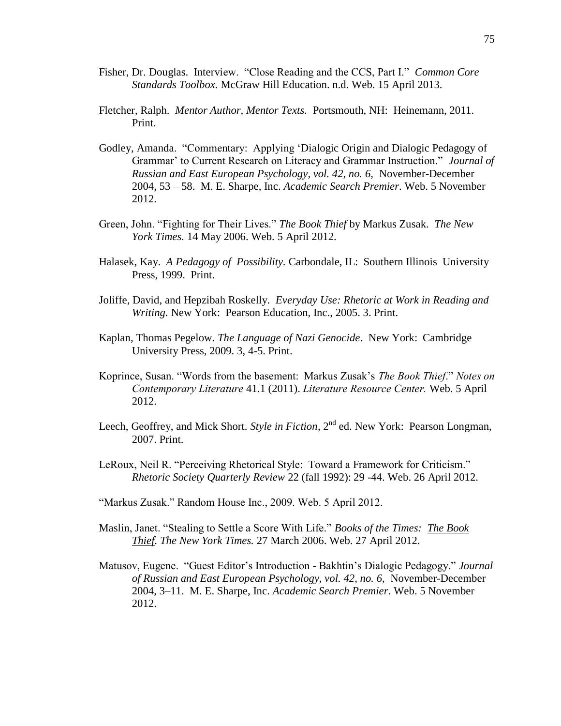- Fisher, Dr. Douglas. Interview. "Close Reading and the CCS, Part I." *Common Core Standards Toolbox.* McGraw Hill Education. n.d. Web. 15 April 2013.
- Fletcher, Ralph. *Mentor Author, Mentor Texts.* Portsmouth, NH: Heinemann, 2011. Print.
- Godley, Amanda. "Commentary: Applying 'Dialogic Origin and Dialogic Pedagogy of Grammar' to Current Research on Literacy and Grammar Instruction." *Journal of Russian and East European Psychology, vol. 42, no. 6,* November-December 2004, 53 – 58. M. E. Sharpe, Inc. *Academic Search Premier*. Web. 5 November 2012.
- Green, John. "Fighting for Their Lives." *The Book Thief* by Markus Zusak. *The New York Times.* 14 May 2006. Web. 5 April 2012.
- Halasek, Kay. *A Pedagogy of Possibility.* Carbondale, IL: Southern Illinois University Press, 1999. Print.
- Joliffe, David, and Hepzibah Roskelly. *Everyday Use: Rhetoric at Work in Reading and Writing.* New York: Pearson Education, Inc., 2005. 3. Print.
- Kaplan, Thomas Pegelow. *The Language of Nazi Genocide*. New York: Cambridge University Press, 2009. 3, 4-5. Print.
- Koprince, Susan. "Words from the basement: Markus Zusak's *The Book Thief*." *Notes on Contemporary Literature* 41.1 (2011). *Literature Resource Center.* Web. 5 April 2012.
- Leech, Geoffrey, and Mick Short. *Style in Fiction*, 2<sup>nd</sup> ed. New York: Pearson Longman, 2007. Print.
- LeRoux, Neil R. "Perceiving Rhetorical Style: Toward a Framework for Criticism." *Rhetoric Society Quarterly Review* 22 (fall 1992): 29 -44. Web. 26 April 2012.
- "Markus Zusak." Random House Inc., 2009. Web. 5 April 2012.
- Maslin, Janet. "Stealing to Settle a Score With Life." *Books of the Times: The Book Thief. The New York Times.* 27 March 2006. Web. 27 April 2012.
- Matusov, Eugene. "Guest Editor's Introduction Bakhtin's Dialogic Pedagogy." *Journal of Russian and East European Psychology, vol. 42, no. 6,* November-December 2004, 3–11. M. E. Sharpe, Inc. *Academic Search Premier*. Web. 5 November 2012.